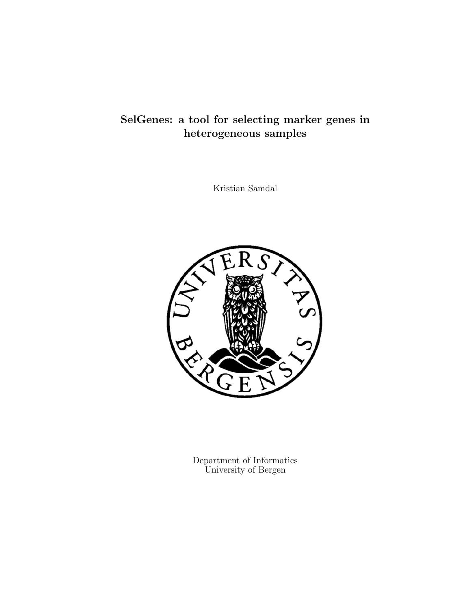## SelGenes: a tool for selecting marker genes in heterogeneous samples

Kristian Samdal



Department of Informatics University of Bergen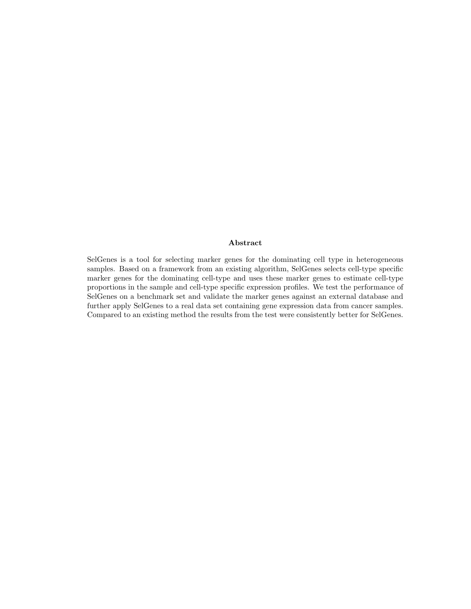#### Abstract

SelGenes is a tool for selecting marker genes for the dominating cell type in heterogeneous samples. Based on a framework from an existing algorithm, SelGenes selects cell-type specific marker genes for the dominating cell-type and uses these marker genes to estimate cell-type proportions in the sample and cell-type specific expression profiles. We test the performance of SelGenes on a benchmark set and validate the marker genes against an external database and further apply SelGenes to a real data set containing gene expression data from cancer samples. Compared to an existing method the results from the test were consistently better for SelGenes.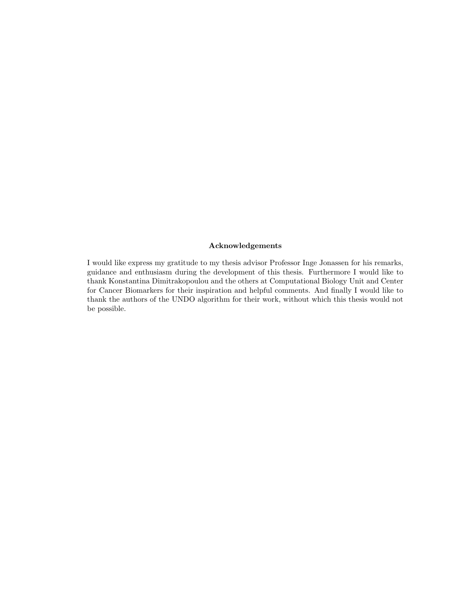#### Acknowledgements

I would like express my gratitude to my thesis advisor Professor Inge Jonassen for his remarks, guidance and enthusiasm during the development of this thesis. Furthermore I would like to thank Konstantina Dimitrakopoulou and the others at Computational Biology Unit and Center for Cancer Biomarkers for their inspiration and helpful comments. And finally I would like to thank the authors of the UNDO algorithm for their work, without which this thesis would not be possible.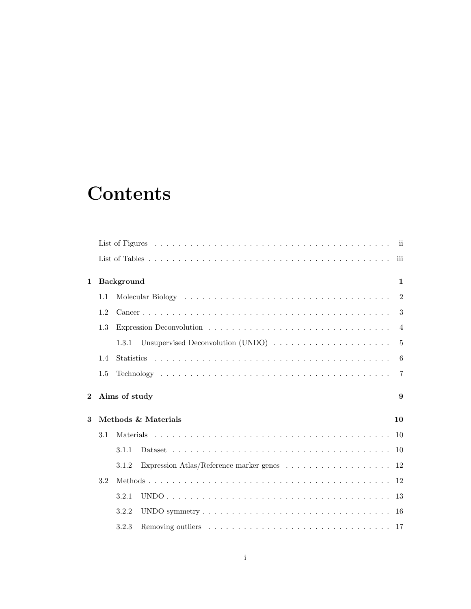# **Contents**

|          |     |                                                                                                                | iii                   |
|----------|-----|----------------------------------------------------------------------------------------------------------------|-----------------------|
| 1        |     | Background                                                                                                     | $\mathbf{1}$          |
|          | 1.1 | Molecular Biology (and a series are a series and a series and a series and a series are series and a series of | $\overline{2}$        |
|          | 1.2 |                                                                                                                | 3                     |
|          | 1.3 |                                                                                                                | $\overline{4}$        |
|          |     | Unsupervised Deconvolution (UNDO)<br>1.3.1                                                                     | -5                    |
|          | 1.4 |                                                                                                                | 6                     |
|          | 1.5 |                                                                                                                | $\overline{7}$        |
|          |     |                                                                                                                |                       |
| $\bf{2}$ |     | Aims of study                                                                                                  | $\boldsymbol{\Omega}$ |
| 3        |     | Methods & Materials                                                                                            | 10                    |
|          | 3.1 |                                                                                                                |                       |
|          |     | 3.1.1                                                                                                          |                       |
|          |     | Expression Atlas/Reference marker genes $\ldots \ldots \ldots \ldots \ldots \ldots 12$<br>3.1.2                |                       |
|          | 3.2 |                                                                                                                |                       |
|          |     | 3.2.1                                                                                                          |                       |
|          |     | 3.2.2                                                                                                          |                       |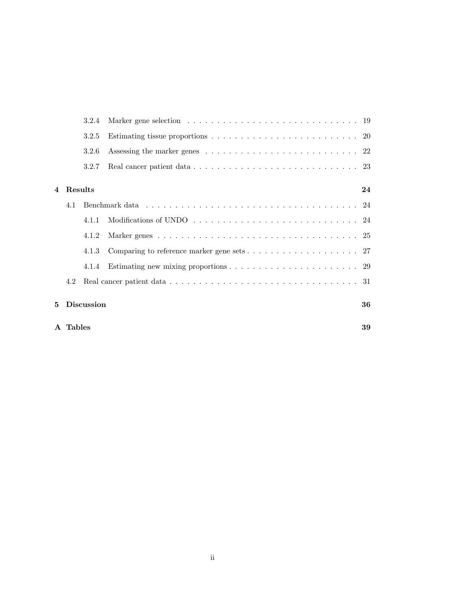|                | A Tables |                   |                                                                                                   | 39 |
|----------------|----------|-------------------|---------------------------------------------------------------------------------------------------|----|
| 5.             |          | <b>Discussion</b> |                                                                                                   | 36 |
|                | 4.2      |                   | Real cancer patient data $\ldots \ldots \ldots \ldots \ldots \ldots \ldots \ldots \ldots \ldots$  |    |
|                |          | 4.1.4             | Estimating new mixing proportions $\ldots \ldots \ldots \ldots \ldots \ldots \ldots \ldots 29$    |    |
|                |          | 4.1.3             | Comparing to reference marker gene sets $\dots \dots \dots \dots \dots \dots \dots \dots 27$      |    |
|                |          | 4.1.2             |                                                                                                   |    |
|                |          | 4.1.1             |                                                                                                   |    |
|                | 4.1      |                   |                                                                                                   |    |
| $\overline{4}$ | Results  |                   |                                                                                                   | 24 |
|                |          | 3.2.7             |                                                                                                   |    |
|                |          | 3.2.6             |                                                                                                   |    |
|                |          | 3.2.5             | Estimating tissue proportions $\ldots \ldots \ldots \ldots \ldots \ldots \ldots \ldots \ldots 20$ |    |
|                |          | 3.2.4             |                                                                                                   |    |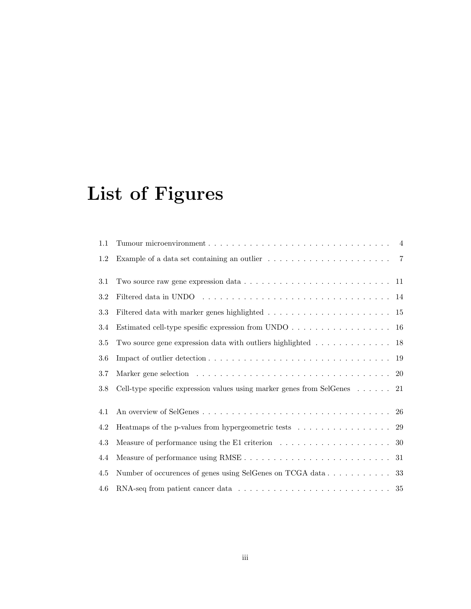# List of Figures

| 1.1    |                                                                                                    |  |
|--------|----------------------------------------------------------------------------------------------------|--|
| 1.2    | Example of a data set containing an outlier $\ldots \ldots \ldots \ldots \ldots \ldots$ 7          |  |
| 3.1    | Two source raw gene expression data $\ldots \ldots \ldots \ldots \ldots \ldots \ldots \ldots 11$   |  |
| 3.2    |                                                                                                    |  |
| $\!.3$ |                                                                                                    |  |
| 3.4    | Estimated cell-type spesific expression from UNDO 16                                               |  |
| 3.5    | Two source gene expression data with outliers highlighted $\ldots \ldots \ldots \ldots$ 18         |  |
| 3.6    |                                                                                                    |  |
| 3.7    |                                                                                                    |  |
| 3.8    | Cell-type specific expression values using marker genes from SelGenes $\ldots \ldots$ 21           |  |
| 4.1    |                                                                                                    |  |
| 4.2    | Heatmaps of the p-values from hypergeometric tests 29                                              |  |
| 4.3    | Measure of performance using the E1 criterion $\dots \dots \dots \dots \dots \dots \dots \dots$ 30 |  |
| 4.4    |                                                                                                    |  |
| 4.5    |                                                                                                    |  |
| 4.6    |                                                                                                    |  |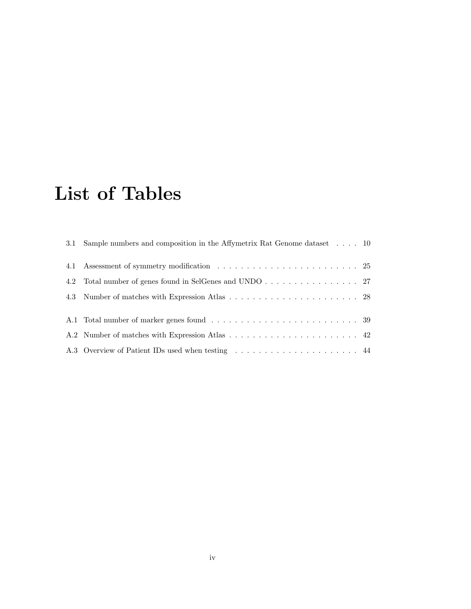# List of Tables

| 3.1 Sample numbers and composition in the Affymetrix Rat Genome dataset 10 |  |
|----------------------------------------------------------------------------|--|
|                                                                            |  |
| 4.2 Total number of genes found in SelGenes and UNDO 27                    |  |
|                                                                            |  |
|                                                                            |  |
|                                                                            |  |
|                                                                            |  |
| A.3 Overview of Patient IDs used when testing  44                          |  |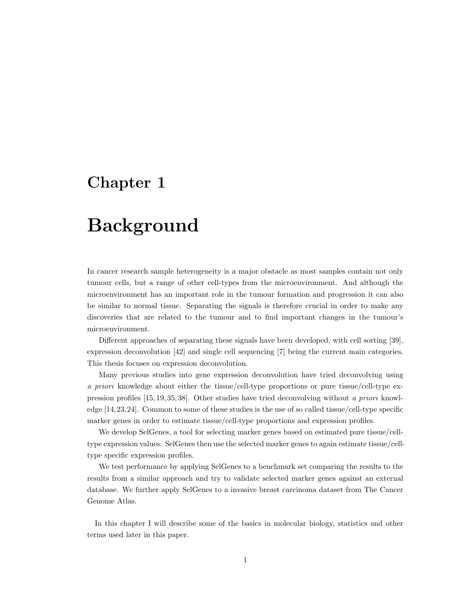## Chapter 1

## Background

In cancer research sample heterogeneity is a major obstacle as most samples contain not only tumour cells, but a range of other cell-types from the microenvironment. And although the microenvironment has an important role in the tumour formation and progression it can also be similar to normal tissue. Separating the signals is therefore crucial in order to make any discoveries that are related to the tumour and to find important changes in the tumour's microenvironment.

Different approaches of separating these signals have been developed, with cell sorting [39], expression deconvolution [42] and single cell sequencing [7] being the current main categories. This thesis focuses on expression deconvolution.

Many previous studies into gene expression deconvolution have tried deconvolving using a priori knowledge about either the tissue/cell-type proportions or pure tissue/cell-type expression profiles [15, 19, 35, 38]. Other studies have tried deconvolving without a priori knowledge [14,23,24]. Common to some of these studies is the use of so called tissue/cell-type specific marker genes in order to estimate tissue/cell-type proportions and expression profiles.

We develop SelGenes, a tool for selecting marker genes based on estimated pure tissue/celltype expression values. SelGenes then use the selected marker genes to again estimate tissue/celltype specific expression profiles.

We test performance by applying SelGenes to a benchmark set comparing the results to the results from a similar approach and try to validate selected marker genes against an external database. We further apply SelGenes to a invasive breast carcinoma dataset from The Cancer Genome Atlas.

In this chapter I will describe some of the basics in molecular biology, statistics and other terms used later in this paper.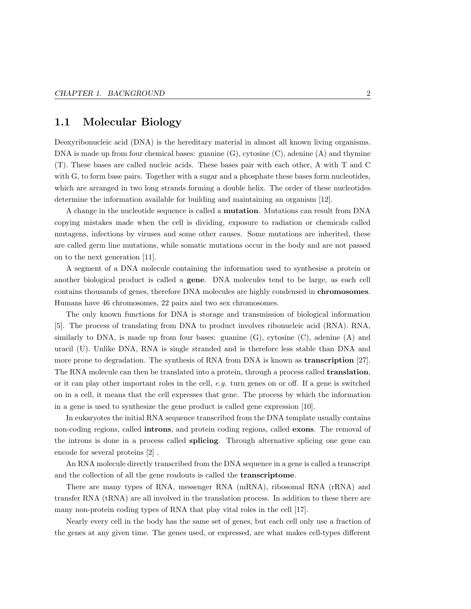### 1.1 Molecular Biology

Deoxyribonucleic acid (DNA) is the hereditary material in almost all known living organisms. DNA is made up from four chemical bases: guanine (G), cytosine (C), adenine (A) and thymine (T). These bases are called nucleic acids. These bases pair with each other, A with T and C with G, to form base pairs. Together with a sugar and a phosphate these bases form nucleotides, which are arranged in two long strands forming a double helix. The order of these nucleotides determine the information available for building and maintaining an organism [12].

A change in the nucleotide sequence is called a mutation. Mutations can result from DNA copying mistakes made when the cell is dividing, exposure to radiation or chemicals called mutagens, infections by viruses and some other causes. Some mutations are inherited, these are called germ line mutations, while somatic mutations occur in the body and are not passed on to the next generation [11].

A segment of a DNA molecule containing the information used to synthesise a protein or another biological product is called a gene. DNA molecules tend to be large, as each cell contains thousands of genes, therefore DNA molecules are highly condensed in chromosomes. Humans have 46 chromosomes, 22 pairs and two sex chromosomes.

The only known functions for DNA is storage and transmission of biological information [5]. The process of translating from DNA to product involves ribonucleic acid (RNA). RNA, similarly to DNA, is made up from four bases: guanine (G), cytosine (C), adenine (A) and uracil (U). Unlike DNA, RNA is single stranded and is therefore less stable than DNA and more prone to degradation. The synthesis of RNA from DNA is known as **transcription** [27]. The RNA molecule can then be translated into a protein, through a process called translation, or it can play other important roles in the cell, e.g. turn genes on or off. If a gene is switched on in a cell, it means that the cell expresses that gene. The process by which the information in a gene is used to synthesize the gene product is called gene expression [10].

In eukaryotes the initial RNA sequence transcribed from the DNA template usually contains non-coding regions, called **introns**, and protein coding regions, called **exons**. The removal of the introns is done in a process called splicing. Through alternative splicing one gene can encode for several proteins [2] .

An RNA molecule directly transcribed from the DNA sequence in a gene is called a transcript and the collection of all the gene readouts is called the transcriptome.

There are many types of RNA, messenger RNA (mRNA), ribosomal RNA (rRNA) and transfer RNA (tRNA) are all involved in the translation process. In addition to these there are many non-protein coding types of RNA that play vital roles in the cell [17].

Nearly every cell in the body has the same set of genes, but each cell only use a fraction of the genes at any given time. The genes used, or expressed, are what makes cell-types different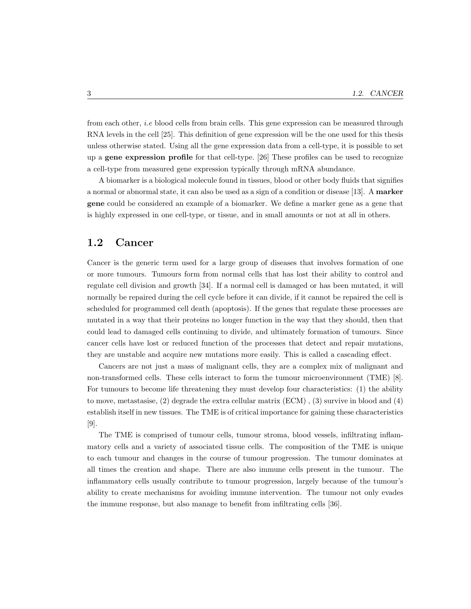from each other, i.e blood cells from brain cells. This gene expression can be measured through RNA levels in the cell [25]. This definition of gene expression will be the one used for this thesis unless otherwise stated. Using all the gene expression data from a cell-type, it is possible to set up a gene expression profile for that cell-type. [26] These profiles can be used to recognize a cell-type from measured gene expression typically through mRNA abundance.

A biomarker is a biological molecule found in tissues, blood or other body fluids that signifies a normal or abnormal state, it can also be used as a sign of a condition or disease [13]. A marker gene could be considered an example of a biomarker. We define a marker gene as a gene that is highly expressed in one cell-type, or tissue, and in small amounts or not at all in others.

### 1.2 Cancer

Cancer is the generic term used for a large group of diseases that involves formation of one or more tumours. Tumours form from normal cells that has lost their ability to control and regulate cell division and growth [34]. If a normal cell is damaged or has been mutated, it will normally be repaired during the cell cycle before it can divide, if it cannot be repaired the cell is scheduled for programmed cell death (apoptosis). If the genes that regulate these processes are mutated in a way that their proteins no longer function in the way that they should, then that could lead to damaged cells continuing to divide, and ultimately formation of tumours. Since cancer cells have lost or reduced function of the processes that detect and repair mutations, they are unstable and acquire new mutations more easily. This is called a cascading effect.

Cancers are not just a mass of malignant cells, they are a complex mix of malignant and non-transformed cells. These cells interact to form the tumour microenvironment (TME) [8]. For tumours to become life threatening they must develop four characteristics: (1) the ability to move, metastasise, (2) degrade the extra cellular matrix (ECM) , (3) survive in blood and (4) establish itself in new tissues. The TME is of critical importance for gaining these characteristics [9].

The TME is comprised of tumour cells, tumour stroma, blood vessels, infiltrating inflammatory cells and a variety of associated tissue cells. The composition of the TME is unique to each tumour and changes in the course of tumour progression. The tumour dominates at all times the creation and shape. There are also immune cells present in the tumour. The inflammatory cells usually contribute to tumour progression, largely because of the tumour's ability to create mechanisms for avoiding immune intervention. The tumour not only evades the immune response, but also manage to benefit from infiltrating cells [36].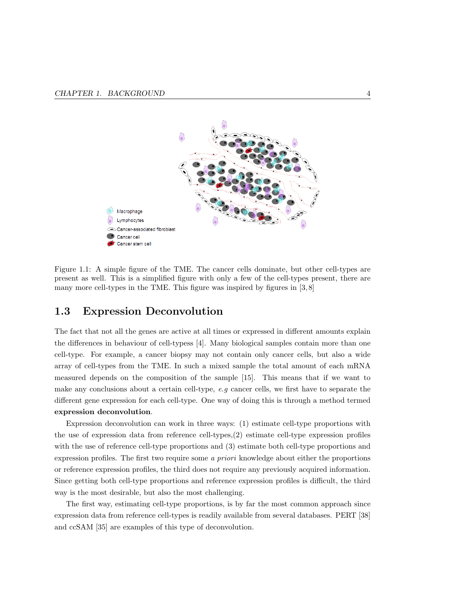

Figure 1.1: A simple figure of the TME. The cancer cells dominate, but other cell-types are present as well. This is a simplified figure with only a few of the cell-types present, there are many more cell-types in the TME. This figure was inspired by figures in [3,8]

### 1.3 Expression Deconvolution

The fact that not all the genes are active at all times or expressed in different amounts explain the differences in behaviour of cell-typess [4]. Many biological samples contain more than one cell-type. For example, a cancer biopsy may not contain only cancer cells, but also a wide array of cell-types from the TME. In such a mixed sample the total amount of each mRNA measured depends on the composition of the sample [15]. This means that if we want to make any conclusions about a certain cell-type, e.g cancer cells, we first have to separate the different gene expression for each cell-type. One way of doing this is through a method termed expression deconvolution.

Expression deconvolution can work in three ways: (1) estimate cell-type proportions with the use of expression data from reference cell-types,(2) estimate cell-type expression profiles with the use of reference cell-type proportions and (3) estimate both cell-type proportions and expression profiles. The first two require some a priori knowledge about either the proportions or reference expression profiles, the third does not require any previously acquired information. Since getting both cell-type proportions and reference expression profiles is difficult, the third way is the most desirable, but also the most challenging.

The first way, estimating cell-type proportions, is by far the most common approach since expression data from reference cell-types is readily available from several databases. PERT [38] and ccSAM [35] are examples of this type of deconvolution.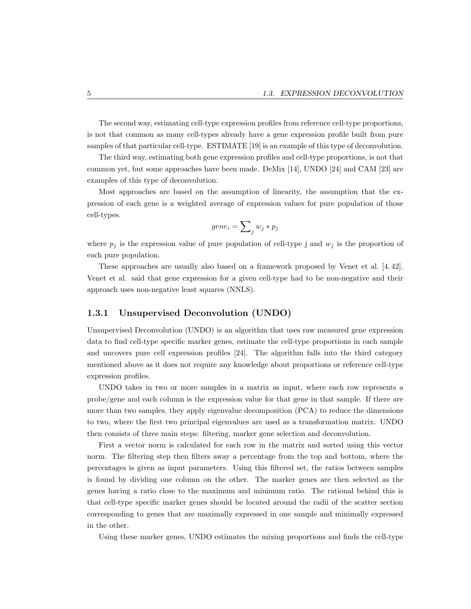The second way, estimating cell-type expression profiles from reference cell-type proportions, is not that common as many cell-types already have a gene expression profile built from pure samples of that particular cell-type. ESTIMATE [19] is an example of this type of deconvolution.

The third way, estimating both gene expression profiles and cell-type proportions, is not that common yet, but some approaches have been made. DeMix [14], UNDO [24] and CAM [23] are examples of this type of deconvolution.

Most approaches are based on the assumption of linearity, the assumption that the expression of each gene is a weighted average of expression values for pure population of those cell-types.

$$
gene_i = \sum\nolimits_j w_j * p_j
$$

where  $p_j$  is the expression value of pure population of cell-type j and  $w_j$  is the proportion of each pure population.

These approaches are usually also based on a framework proposed by Venet et al. [4, 42]. Venet et al. said that gene expression for a given cell-type had to be non-negative and their approach uses non-negative least squares (NNLS).

#### 1.3.1 Unsupervised Deconvolution (UNDO)

Unsupervised Deconvolution (UNDO) is an algorithm that uses raw measured gene expression data to find cell-type specific marker genes, estimate the cell-type proportions in each sample and uncovers pure cell expression profiles [24]. The algorithm falls into the third category mentioned above as it does not require any knowledge about proportions or reference cell-type expression profiles.

UNDO takes in two or more samples in a matrix as input, where each row represents a probe/gene and each column is the expression value for that gene in that sample. If there are more than two samples, they apply eigenvalue decomposition (PCA) to reduce the dimensions to two, where the first two principal eigenvalues are used as a transformation matrix. UNDO then consists of three main steps: filtering, marker gene selection and deconvolution.

First a vector norm is calculated for each row in the matrix and sorted using this vector norm. The filtering step then filters away a percentage from the top and bottom, where the percentages is given as input parameters. Using this filtered set, the ratios between samples is found by dividing one column on the other. The marker genes are then selected as the genes having a ratio close to the maximum and minimum ratio. The rational behind this is that cell-type specific marker genes should be located around the radii of the scatter section corresponding to genes that are maximally expressed in one sample and minimally expressed in the other.

Using these marker genes, UNDO estimates the mixing proportions and finds the cell-type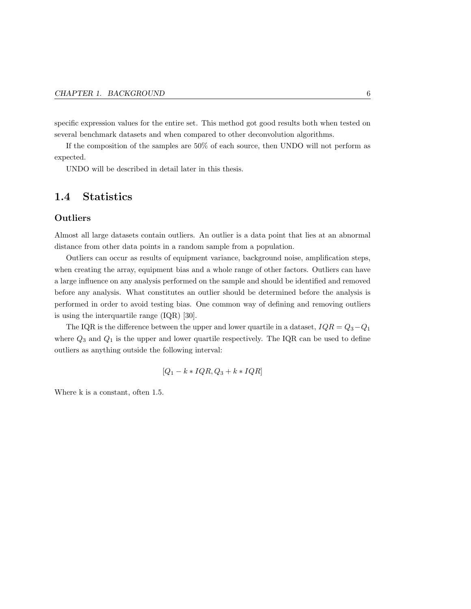specific expression values for the entire set. This method got good results both when tested on several benchmark datasets and when compared to other deconvolution algorithms.

If the composition of the samples are 50% of each source, then UNDO will not perform as expected.

UNDO will be described in detail later in this thesis.

### 1.4 Statistics

#### **Outliers**

Almost all large datasets contain outliers. An outlier is a data point that lies at an abnormal distance from other data points in a random sample from a population.

Outliers can occur as results of equipment variance, background noise, amplification steps, when creating the array, equipment bias and a whole range of other factors. Outliers can have a large influence on any analysis performed on the sample and should be identified and removed before any analysis. What constitutes an outlier should be determined before the analysis is performed in order to avoid testing bias. One common way of defining and removing outliers is using the interquartile range (IQR) [30].

The IQR is the difference between the upper and lower quartile in a dataset,  $IQR = Q_3 - Q_1$ where  $Q_3$  and  $Q_1$  is the upper and lower quartile respectively. The IQR can be used to define outliers as anything outside the following interval:

$$
[Q_1 - k \cdot IQR, Q_3 + k \cdot IQR]
$$

Where k is a constant, often 1.5.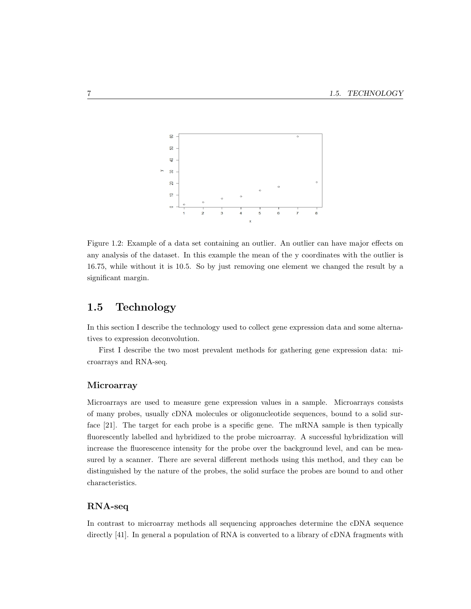

Figure 1.2: Example of a data set containing an outlier. An outlier can have major effects on any analysis of the dataset. In this example the mean of the y coordinates with the outlier is 16.75, while without it is 10.5. So by just removing one element we changed the result by a significant margin.

### 1.5 Technology

In this section I describe the technology used to collect gene expression data and some alternatives to expression deconvolution.

First I describe the two most prevalent methods for gathering gene expression data: microarrays and RNA-seq.

#### **Microarray**

Microarrays are used to measure gene expression values in a sample. Microarrays consists of many probes, usually cDNA molecules or oligonucleotide sequences, bound to a solid surface [21]. The target for each probe is a specific gene. The mRNA sample is then typically fluorescently labelled and hybridized to the probe microarray. A successful hybridization will increase the fluorescence intensity for the probe over the background level, and can be measured by a scanner. There are several different methods using this method, and they can be distinguished by the nature of the probes, the solid surface the probes are bound to and other characteristics.

#### RNA-seq

In contrast to microarray methods all sequencing approaches determine the cDNA sequence directly [41]. In general a population of RNA is converted to a library of cDNA fragments with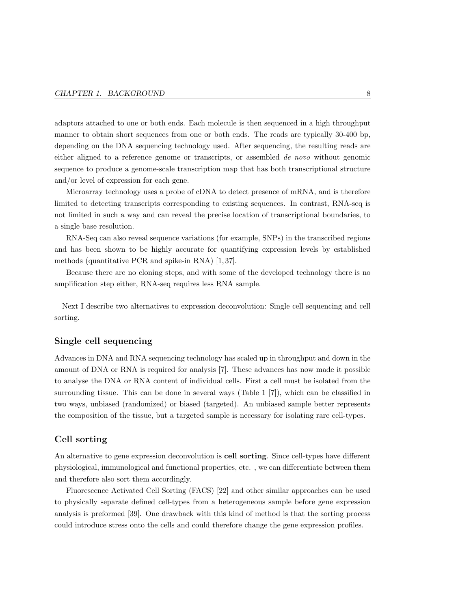adaptors attached to one or both ends. Each molecule is then sequenced in a high throughput manner to obtain short sequences from one or both ends. The reads are typically 30-400 bp, depending on the DNA sequencing technology used. After sequencing, the resulting reads are either aligned to a reference genome or transcripts, or assembled de novo without genomic sequence to produce a genome-scale transcription map that has both transcriptional structure and/or level of expression for each gene.

Microarray technology uses a probe of cDNA to detect presence of mRNA, and is therefore limited to detecting transcripts corresponding to existing sequences. In contrast, RNA-seq is not limited in such a way and can reveal the precise location of transcriptional boundaries, to a single base resolution.

RNA-Seq can also reveal sequence variations (for example, SNPs) in the transcribed regions and has been shown to be highly accurate for quantifying expression levels by established methods (quantitative PCR and spike-in RNA) [1, 37].

Because there are no cloning steps, and with some of the developed technology there is no amplification step either, RNA-seq requires less RNA sample.

Next I describe two alternatives to expression deconvolution: Single cell sequencing and cell sorting.

#### Single cell sequencing

Advances in DNA and RNA sequencing technology has scaled up in throughput and down in the amount of DNA or RNA is required for analysis [7]. These advances has now made it possible to analyse the DNA or RNA content of individual cells. First a cell must be isolated from the surrounding tissue. This can be done in several ways (Table 1 [7]), which can be classified in two ways, unbiased (randomized) or biased (targeted). An unbiased sample better represents the composition of the tissue, but a targeted sample is necessary for isolating rare cell-types.

#### Cell sorting

An alternative to gene expression deconvolution is cell sorting. Since cell-types have different physiological, immunological and functional properties, etc. , we can differentiate between them and therefore also sort them accordingly.

Fluorescence Activated Cell Sorting (FACS) [22] and other similar approaches can be used to physically separate defined cell-types from a heterogeneous sample before gene expression analysis is preformed [39]. One drawback with this kind of method is that the sorting process could introduce stress onto the cells and could therefore change the gene expression profiles.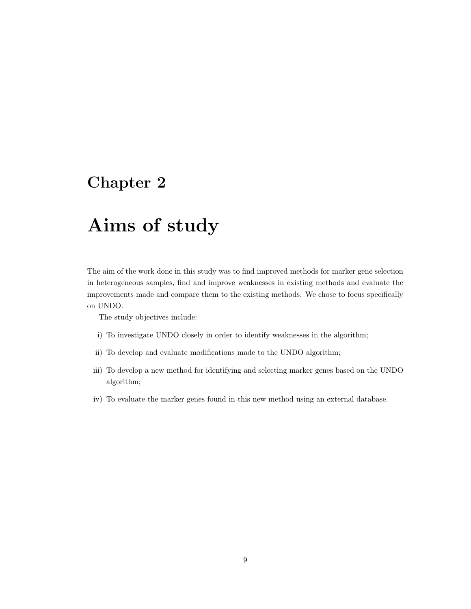## Chapter 2

## Aims of study

The aim of the work done in this study was to find improved methods for marker gene selection in heterogeneous samples, find and improve weaknesses in existing methods and evaluate the improvements made and compare them to the existing methods. We chose to focus specifically on UNDO.

The study objectives include:

- i) To investigate UNDO closely in order to identify weaknesses in the algorithm;
- ii) To develop and evaluate modifications made to the UNDO algorithm;
- iii) To develop a new method for identifying and selecting marker genes based on the UNDO algorithm;
- iv) To evaluate the marker genes found in this new method using an external database.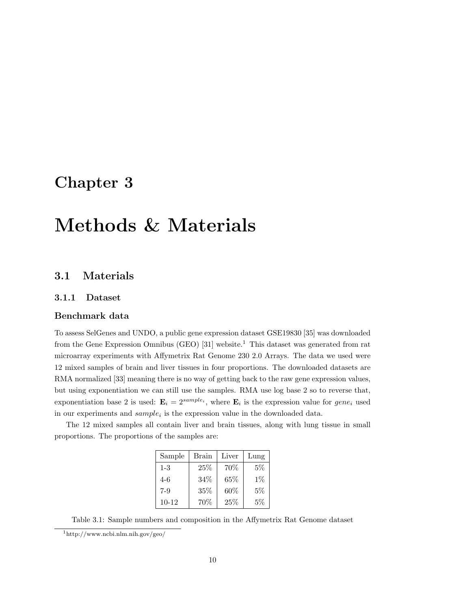## Chapter 3

## Methods & Materials

## 3.1 Materials

#### 3.1.1 Dataset

#### Benchmark data

To assess SelGenes and UNDO, a public gene expression dataset GSE19830 [35] was downloaded from the Gene Expression Omnibus (GEO) [31] website.<sup>1</sup> This dataset was generated from rat microarray experiments with Affymetrix Rat Genome 230 2.0 Arrays. The data we used were 12 mixed samples of brain and liver tissues in four proportions. The downloaded datasets are RMA normalized [33] meaning there is no way of getting back to the raw gene expression values, but using exponentiation we can still use the samples. RMA use log base 2 so to reverse that, exponentiation base 2 is used:  $\mathbf{E}_i = 2^{sample_i}$ , where  $\mathbf{E}_i$  is the expression value for  $gene_i$  used in our experiments and  $sample_i$  is the expression value in the downloaded data.

The 12 mixed samples all contain liver and brain tissues, along with lung tissue in small proportions. The proportions of the samples are:

| Sample    | Brain | Liver | Lung  |
|-----------|-------|-------|-------|
| $1 - 3$   | 25%   | 70\%  | $5\%$ |
| $4-6$     | 34\%  | 65%   | $1\%$ |
| $7-9$     | 35\%  | 60%   | 5%    |
| $10 - 12$ | 70\%  | 25%   | 5%    |

Table 3.1: Sample numbers and composition in the Affymetrix Rat Genome dataset

<sup>1</sup>http://www.ncbi.nlm.nih.gov/geo/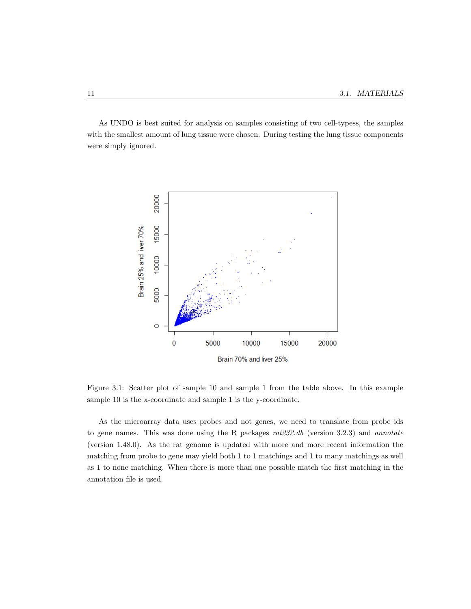As UNDO is best suited for analysis on samples consisting of two cell-typess, the samples with the smallest amount of lung tissue were chosen. During testing the lung tissue components were simply ignored.



Figure 3.1: Scatter plot of sample 10 and sample 1 from the table above. In this example sample 10 is the x-coordinate and sample 1 is the y-coordinate.

As the microarray data uses probes and not genes, we need to translate from probe ids to gene names. This was done using the R packages  $rat232.db$  (version 3.2.3) and annotate (version 1.48.0). As the rat genome is updated with more and more recent information the matching from probe to gene may yield both 1 to 1 matchings and 1 to many matchings as well as 1 to none matching. When there is more than one possible match the first matching in the annotation file is used.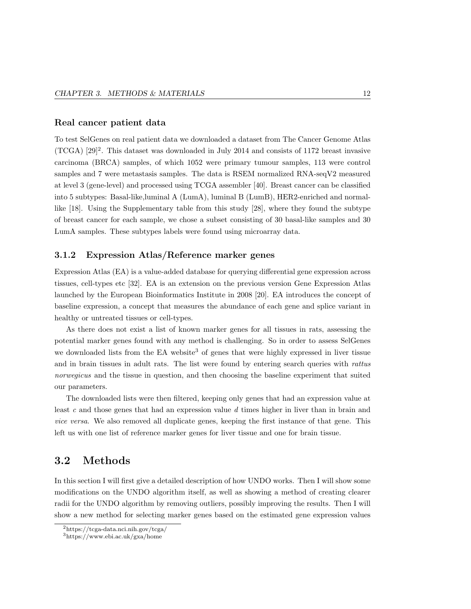#### Real cancer patient data

To test SelGenes on real patient data we downloaded a dataset from The Cancer Genome Atlas  $(TCGA)$  [29]<sup>2</sup>. This dataset was downloaded in July 2014 and consists of 1172 breast invasive carcinoma (BRCA) samples, of which 1052 were primary tumour samples, 113 were control samples and 7 were metastasis samples. The data is RSEM normalized RNA-seqV2 measured at level 3 (gene-level) and processed using TCGA assembler [40]. Breast cancer can be classified into 5 subtypes: Basal-like,luminal A (LumA), luminal B (LumB), HER2-enriched and normallike [18]. Using the Supplementary table from this study [28], where they found the subtype of breast cancer for each sample, we chose a subset consisting of 30 basal-like samples and 30 LumA samples. These subtypes labels were found using microarray data.

#### 3.1.2 Expression Atlas/Reference marker genes

Expression Atlas (EA) is a value-added database for querying differential gene expression across tissues, cell-types etc [32]. EA is an extension on the previous version Gene Expression Atlas launched by the European Bioinformatics Institute in 2008 [20]. EA introduces the concept of baseline expression, a concept that measures the abundance of each gene and splice variant in healthy or untreated tissues or cell-types.

As there does not exist a list of known marker genes for all tissues in rats, assessing the potential marker genes found with any method is challenging. So in order to assess SelGenes we downloaded lists from the EA website<sup>3</sup> of genes that were highly expressed in liver tissue and in brain tissues in adult rats. The list were found by entering search queries with rattus norwegicus and the tissue in question, and then choosing the baseline experiment that suited our parameters.

The downloaded lists were then filtered, keeping only genes that had an expression value at least c and those genes that had an expression value  $d$  times higher in liver than in brain and vice versa. We also removed all duplicate genes, keeping the first instance of that gene. This left us with one list of reference marker genes for liver tissue and one for brain tissue.

### 3.2 Methods

In this section I will first give a detailed description of how UNDO works. Then I will show some modifications on the UNDO algorithm itself, as well as showing a method of creating clearer radii for the UNDO algorithm by removing outliers, possibly improving the results. Then I will show a new method for selecting marker genes based on the estimated gene expression values

<sup>2</sup>https://tcga-data.nci.nih.gov/tcga/

<sup>3</sup>https://www.ebi.ac.uk/gxa/home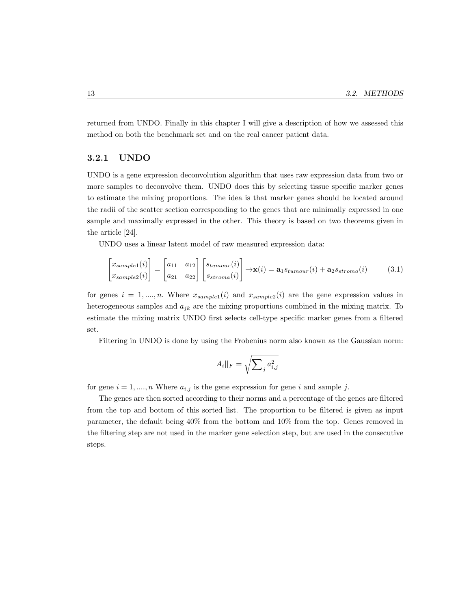returned from UNDO. Finally in this chapter I will give a description of how we assessed this method on both the benchmark set and on the real cancer patient data.

#### 3.2.1 UNDO

UNDO is a gene expression deconvolution algorithm that uses raw expression data from two or more samples to deconvolve them. UNDO does this by selecting tissue specific marker genes to estimate the mixing proportions. The idea is that marker genes should be located around the radii of the scatter section corresponding to the genes that are minimally expressed in one sample and maximally expressed in the other. This theory is based on two theorems given in the article [24].

UNDO uses a linear latent model of raw measured expression data:

$$
\begin{bmatrix} x_{sample1}(i) \\ x_{sample2}(i) \end{bmatrix} = \begin{bmatrix} a_{11} & a_{12} \\ a_{21} & a_{22} \end{bmatrix} \begin{bmatrix} s_{tumour}(i) \\ s_{stroma}(i) \end{bmatrix} \rightarrow \mathbf{x}(i) = \mathbf{a}_1 s_{tumour}(i) + \mathbf{a}_2 s_{stroma}(i) \tag{3.1}
$$

for genes  $i = 1, \ldots, n$ . Where  $x_{sample1}(i)$  and  $x_{sample2}(i)$  are the gene expression values in heterogeneous samples and  $a_{jk}$  are the mixing proportions combined in the mixing matrix. To estimate the mixing matrix UNDO first selects cell-type specific marker genes from a filtered set.

Filtering in UNDO is done by using the Frobenius norm also known as the Gaussian norm:

$$
||A_i||_F = \sqrt{\sum_j a_{i,j}^2}
$$

for gene  $i = 1, \ldots, n$  Where  $a_{i,j}$  is the gene expression for gene i and sample j.

The genes are then sorted according to their norms and a percentage of the genes are filtered from the top and bottom of this sorted list. The proportion to be filtered is given as input parameter, the default being 40% from the bottom and 10% from the top. Genes removed in the filtering step are not used in the marker gene selection step, but are used in the consecutive steps.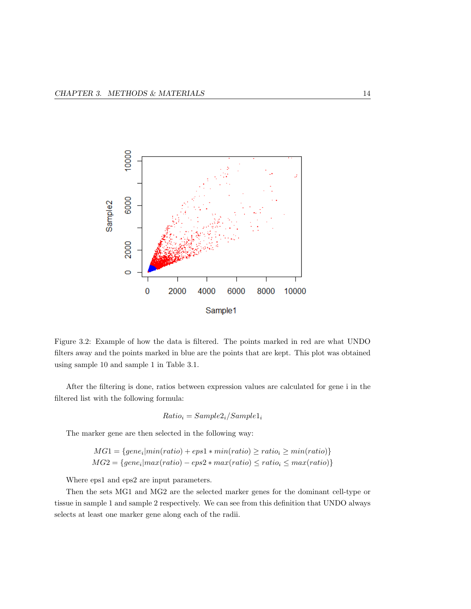

Figure 3.2: Example of how the data is filtered. The points marked in red are what UNDO filters away and the points marked in blue are the points that are kept. This plot was obtained using sample 10 and sample 1 in Table 3.1.

After the filtering is done, ratios between expression values are calculated for gene i in the filtered list with the following formula:

$$
Ratio_i = Sample2_i/Sample1_i
$$

The marker gene are then selected in the following way:

$$
MG1 = \{gene_i | min(ratio) + eps1 * min(ratio) \ge ratio_i \ge min(ratio)\}
$$
  

$$
MG2 = \{gene_i | max(ratio) - eps2 * max(ratio) \le ratio_i \le max(ratio)\}
$$

Where eps1 and eps2 are input parameters.

Then the sets MG1 and MG2 are the selected marker genes for the dominant cell-type or tissue in sample 1 and sample 2 respectively. We can see from this definition that UNDO always selects at least one marker gene along each of the radii.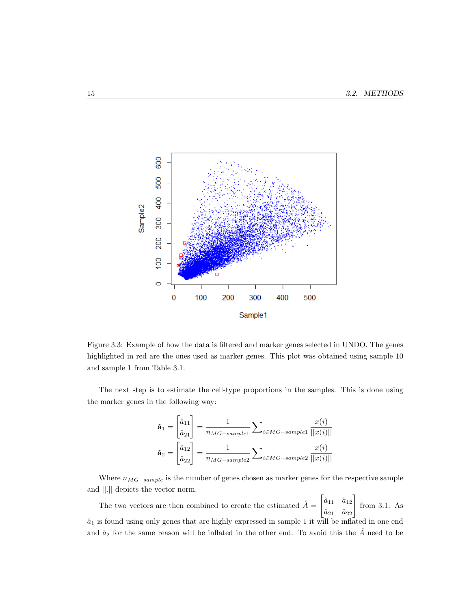

Figure 3.3: Example of how the data is filtered and marker genes selected in UNDO. The genes highlighted in red are the ones used as marker genes. This plot was obtained using sample 10 and sample 1 from Table 3.1.

The next step is to estimate the cell-type proportions in the samples. This is done using the marker genes in the following way:

$$
\hat{\mathbf{a}}_1 = \begin{bmatrix} \hat{a}_{11} \\ \hat{a}_{21} \end{bmatrix} = \frac{1}{n_{MG-sample1}} \sum_{i \in MG-sample1} \frac{x(i)}{||x(i)||}
$$

$$
\hat{\mathbf{a}}_2 = \begin{bmatrix} \hat{a}_{12} \\ \hat{a}_{22} \end{bmatrix} = \frac{1}{n_{MG-sample2}} \sum_{i \in MG-sample2} \frac{x(i)}{||x(i)||}
$$

Where  $n_{MG-sample}$  is the number of genes chosen as marker genes for the respective sample and ||.|| depicts the vector norm.

The two vectors are then combined to create the estimated  $\hat{A} = \begin{bmatrix} \hat{a}_{11} & \hat{a}_{12} \\ \hat{a}_{21} & \hat{a}_{22} \end{bmatrix}$ from 3.1. As  $\hat{a}_1$  is found using only genes that are highly expressed in sample 1 it will be inflated in one end and  $\hat{a}_2$  for the same reason will be inflated in the other end. To avoid this the  $\hat{A}$  need to be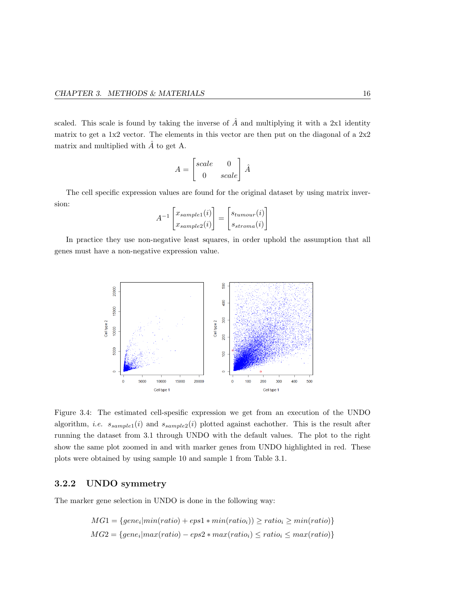scaled. This scale is found by taking the inverse of  $\hat{A}$  and multiplying it with a 2x1 identity matrix to get a 1x2 vector. The elements in this vector are then put on the diagonal of a 2x2 matrix and multiplied with  $\hat{A}$  to get A.

$$
A = \begin{bmatrix} scale & 0 \\ 0 & scale \end{bmatrix} \hat{A}
$$

The cell specific expression values are found for the original dataset by using matrix inversion:

$$
A^{-1} \begin{bmatrix} x_{sample1}(i) \\ x_{sample2}(i) \end{bmatrix} = \begin{bmatrix} s_{tumour}(i) \\ s_{stroma}(i) \end{bmatrix}
$$

In practice they use non-negative least squares, in order uphold the assumption that all genes must have a non-negative expression value.



Figure 3.4: The estimated cell-spesific expression we get from an execution of the UNDO algorithm, *i.e.*  $s_{sample1}(i)$  and  $s_{sample2}(i)$  plotted against eachother. This is the result after running the dataset from 3.1 through UNDO with the default values. The plot to the right show the same plot zoomed in and with marker genes from UNDO highlighted in red. These plots were obtained by using sample 10 and sample 1 from Table 3.1.

#### 3.2.2 UNDO symmetry

The marker gene selection in UNDO is done in the following way:

$$
MG1 = \{gene_i | min(ratio) + eps1 * min(ratio_i)) \ge ratio_i \ge min(ratio) \}
$$
  

$$
MG2 = \{ gene_i | max(ratio) - eps2 * max(ratio_i) \le ratio_i \le max(ratio) \}
$$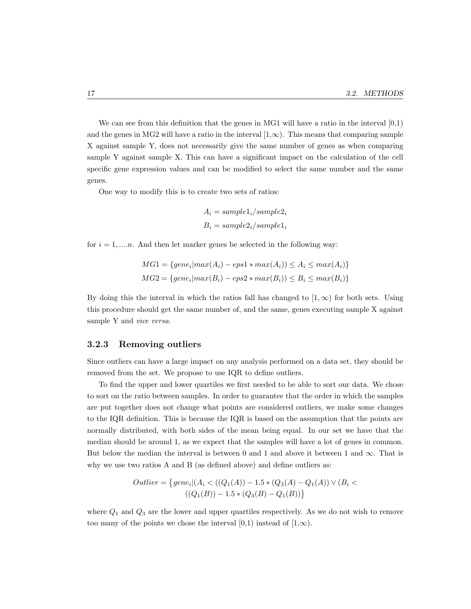We can see from this definition that the genes in MG1 will have a ratio in the interval  $[0,1)$ and the genes in MG2 will have a ratio in the interval  $[1,\infty)$ . This means that comparing sample X against sample Y, does not necessarily give the same number of genes as when comparing sample Y against sample X. This can have a significant impact on the calculation of the cell specific gene expression values and can be modified to select the same number and the same genes.

One way to modify this is to create two sets of ratios:

$$
A_i = sample1_i/sample2_i
$$

$$
B_i = sample2_i/sample1_i
$$

for  $i = 1, \ldots, n$ . And then let marker genes be selected in the following way:

$$
MG1 = \{gene_i|max(A_i) -eps1 * max(A_i)) \le A_i \le max(A_i) \}
$$
  

$$
MG2 = \{gene_i|max(B_i) -eps2 * max(B_i)) \le B_i \le max(B_i) \}
$$

By doing this the interval in which the ratios fall has changed to  $[1,\infty)$  for both sets. Using this procedure should get the same number of, and the same, genes executing sample X against sample Y and *vice versa*.

#### 3.2.3 Removing outliers

Since outliers can have a large impact on any analysis performed on a data set, they should be removed from the set. We propose to use IQR to define outliers.

To find the upper and lower quartiles we first needed to be able to sort our data. We chose to sort on the ratio between samples. In order to guarantee that the order in which the samples are put together does not change what points are considered outliers, we make some changes to the IQR definition. This is because the IQR is based on the assumption that the points are normally distributed, with both sides of the mean being equal. In our set we have that the median should be around 1, as we expect that the samples will have a lot of genes in common. But below the median the interval is between 0 and 1 and above it between 1 and  $\infty$ . That is why we use two ratios A and B (as defined above) and define outliers as:

$$
Outlier = \{gene_i | (A_i < ((Q_1(A)) - 1.5 * (Q_3(A) - Q_1(A)) \vee (B_i < ((Q_1(B)) - 1.5 * (Q_3(B) - Q_1(B))) \}
$$

where  $Q_1$  and  $Q_3$  are the lower and upper quartiles respectively. As we do not wish to remove too many of the points we chose the interval [0,1) instead of  $[1,\infty)$ .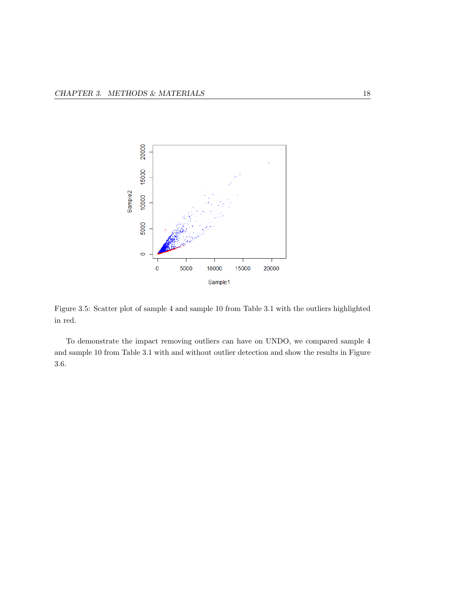

Figure 3.5: Scatter plot of sample 4 and sample 10 from Table 3.1 with the outliers highlighted in red.

To demonstrate the impact removing outliers can have on UNDO, we compared sample 4 and sample 10 from Table 3.1 with and without outlier detection and show the results in Figure 3.6.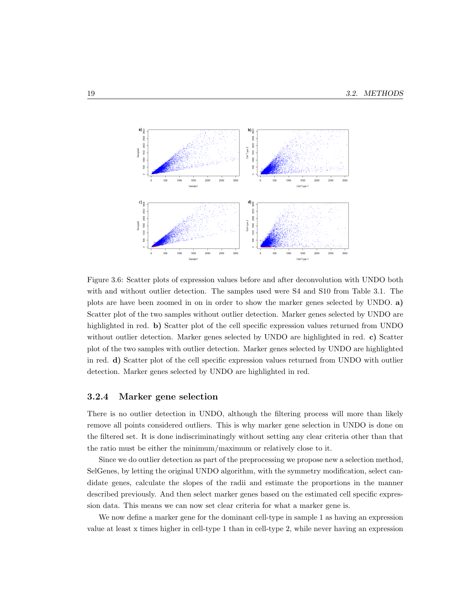

Figure 3.6: Scatter plots of expression values before and after deconvolution with UNDO both with and without outlier detection. The samples used were S4 and S10 from Table 3.1. The plots are have been zoomed in on in order to show the marker genes selected by UNDO. a) Scatter plot of the two samples without outlier detection. Marker genes selected by UNDO are highlighted in red. b) Scatter plot of the cell specific expression values returned from UNDO without outlier detection. Marker genes selected by UNDO are highlighted in red. c) Scatter plot of the two samples with outlier detection. Marker genes selected by UNDO are highlighted in red. d) Scatter plot of the cell specific expression values returned from UNDO with outlier detection. Marker genes selected by UNDO are highlighted in red.

#### 3.2.4 Marker gene selection

There is no outlier detection in UNDO, although the filtering process will more than likely remove all points considered outliers. This is why marker gene selection in UNDO is done on the filtered set. It is done indiscriminatingly without setting any clear criteria other than that the ratio must be either the minimum/maximum or relatively close to it.

Since we do outlier detection as part of the preprocessing we propose new a selection method, SelGenes, by letting the original UNDO algorithm, with the symmetry modification, select candidate genes, calculate the slopes of the radii and estimate the proportions in the manner described previously. And then select marker genes based on the estimated cell specific expression data. This means we can now set clear criteria for what a marker gene is.

We now define a marker gene for the dominant cell-type in sample 1 as having an expression value at least x times higher in cell-type 1 than in cell-type 2, while never having an expression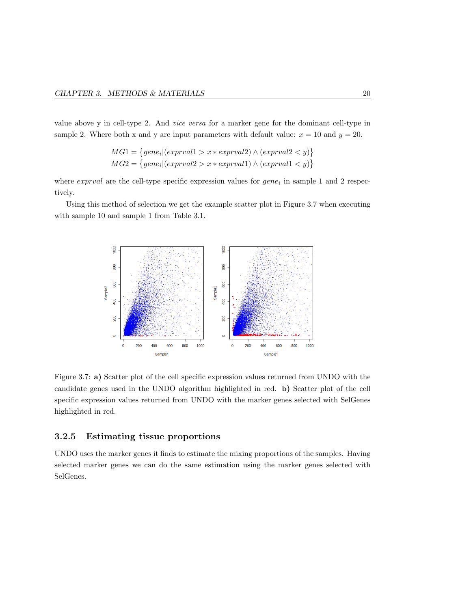value above y in cell-type 2. And vice versa for a marker gene for the dominant cell-type in sample 2. Where both x and y are input parameters with default value:  $x = 10$  and  $y = 20$ .

$$
MG1 = \{gene_i | (exprval1 > x * exprval2) \land (exprval2 < y) \}
$$
  

$$
MG2 = \{gene_i | (exprval2 > x * exprval1) \land (exprval1 < y) \}
$$

where  $\exp$ rval are the cell-type specific expression values for  $\theta$ ene<sub>i</sub> in sample 1 and 2 respectively.

Using this method of selection we get the example scatter plot in Figure 3.7 when executing with sample 10 and sample 1 from Table 3.1.



Figure 3.7: a) Scatter plot of the cell specific expression values returned from UNDO with the candidate genes used in the UNDO algorithm highlighted in red. b) Scatter plot of the cell specific expression values returned from UNDO with the marker genes selected with SelGenes highlighted in red.

#### 3.2.5 Estimating tissue proportions

UNDO uses the marker genes it finds to estimate the mixing proportions of the samples. Having selected marker genes we can do the same estimation using the marker genes selected with SelGenes.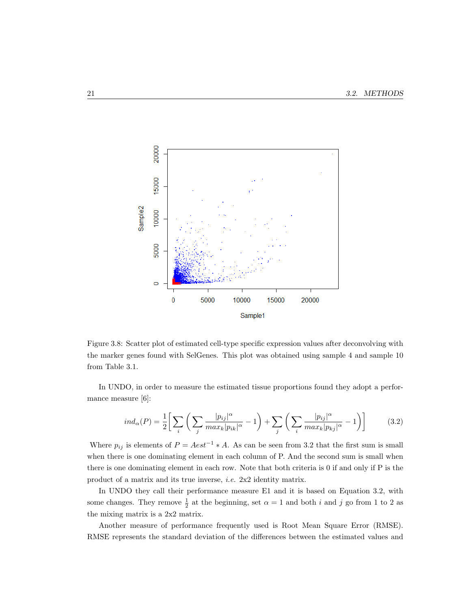

Figure 3.8: Scatter plot of estimated cell-type specific expression values after deconvolving with the marker genes found with SelGenes. This plot was obtained using sample 4 and sample 10 from Table 3.1.

In UNDO, in order to measure the estimated tissue proportions found they adopt a performance measure [6]:

$$
ind_{\alpha}(P) = \frac{1}{2} \bigg[ \sum_{i} \bigg( \sum_{j} \frac{|p_{ij}|^{\alpha}}{max_{k} |p_{ik}|^{\alpha}} - 1 \bigg) + \sum_{j} \bigg( \sum_{i} \frac{|p_{ij}|^{\alpha}}{max_{k} |p_{kj}|^{\alpha}} - 1 \bigg) \bigg] \tag{3.2}
$$

Where  $p_{ij}$  is elements of  $P = Aest^{-1} * A$ . As can be seen from 3.2 that the first sum is small when there is one dominating element in each column of P. And the second sum is small when there is one dominating element in each row. Note that both criteria is 0 if and only if P is the product of a matrix and its true inverse, i.e. 2x2 identity matrix.

In UNDO they call their performance measure E1 and it is based on Equation 3.2, with some changes. They remove  $\frac{1}{2}$  at the beginning, set  $\alpha = 1$  and both i and j go from 1 to 2 as the mixing matrix is a 2x2 matrix.

Another measure of performance frequently used is Root Mean Square Error (RMSE). RMSE represents the standard deviation of the differences between the estimated values and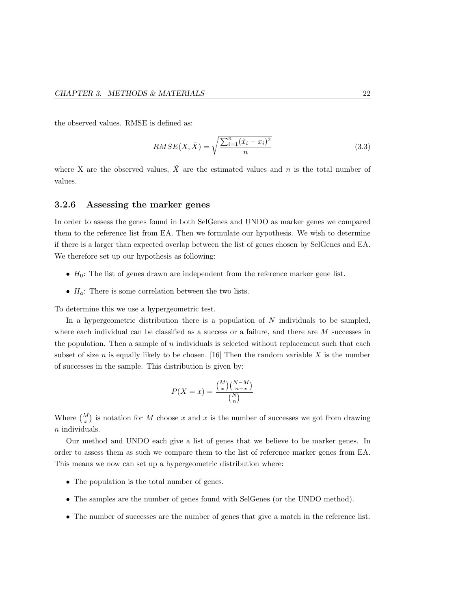the observed values. RMSE is defined as:

$$
RMSE(X, \hat{X}) = \sqrt{\frac{\sum_{i=1}^{n} (\hat{x}_i - x_i)^2}{n}}
$$
(3.3)

where X are the observed values,  $\hat{X}$  are the estimated values and n is the total number of values.

#### 3.2.6 Assessing the marker genes

In order to assess the genes found in both SelGenes and UNDO as marker genes we compared them to the reference list from EA. Then we formulate our hypothesis. We wish to determine if there is a larger than expected overlap between the list of genes chosen by SelGenes and EA. We therefore set up our hypothesis as following:

- $H_0$ : The list of genes drawn are independent from the reference marker gene list.
- $H_a$ : There is some correlation between the two lists.

To determine this we use a hypergeometric test.

In a hypergeometric distribution there is a population of  $N$  individuals to be sampled, where each individual can be classified as a success or a failure, and there are  $M$  successes in the population. Then a sample of  $n$  individuals is selected without replacement such that each subset of size n is equally likely to be chosen. [16] Then the random variable  $X$  is the number of successes in the sample. This distribution is given by:

$$
P(X = x) = \frac{\binom{M}{x}\binom{N-M}{n-x}}{\binom{N}{n}}
$$

Where  $\binom{M}{x}$  is notation for M choose x and x is the number of successes we got from drawing n individuals.

Our method and UNDO each give a list of genes that we believe to be marker genes. In order to assess them as such we compare them to the list of reference marker genes from EA. This means we now can set up a hypergeometric distribution where:

- The population is the total number of genes.
- The samples are the number of genes found with SelGenes (or the UNDO method).
- The number of successes are the number of genes that give a match in the reference list.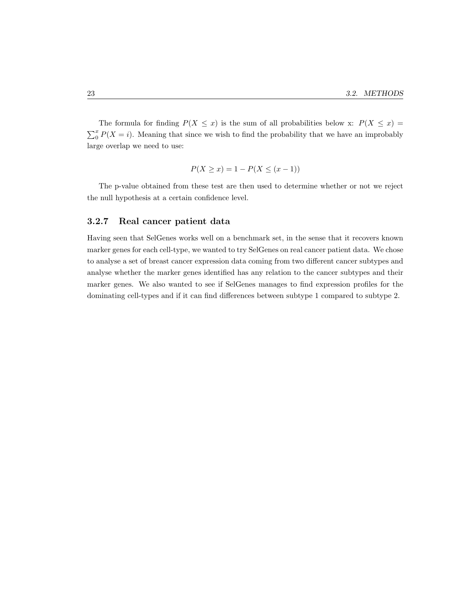The formula for finding  $P(X \leq x)$  is the sum of all probabilities below x:  $P(X \leq x)$  $\sum_{i=0}^{x} P(X = i)$ . Meaning that since we wish to find the probability that we have an improbably large overlap we need to use:

$$
P(X \ge x) = 1 - P(X \le (x - 1))
$$

The p-value obtained from these test are then used to determine whether or not we reject the null hypothesis at a certain confidence level.

#### 3.2.7 Real cancer patient data

Having seen that SelGenes works well on a benchmark set, in the sense that it recovers known marker genes for each cell-type, we wanted to try SelGenes on real cancer patient data. We chose to analyse a set of breast cancer expression data coming from two different cancer subtypes and analyse whether the marker genes identified has any relation to the cancer subtypes and their marker genes. We also wanted to see if SelGenes manages to find expression profiles for the dominating cell-types and if it can find differences between subtype 1 compared to subtype 2.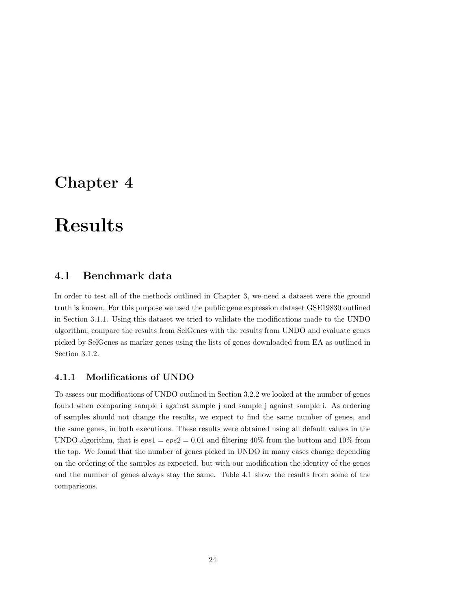## Chapter 4

## Results

## 4.1 Benchmark data

In order to test all of the methods outlined in Chapter 3, we need a dataset were the ground truth is known. For this purpose we used the public gene expression dataset GSE19830 outlined in Section 3.1.1. Using this dataset we tried to validate the modifications made to the UNDO algorithm, compare the results from SelGenes with the results from UNDO and evaluate genes picked by SelGenes as marker genes using the lists of genes downloaded from EA as outlined in Section 3.1.2.

#### 4.1.1 Modifications of UNDO

To assess our modifications of UNDO outlined in Section 3.2.2 we looked at the number of genes found when comparing sample i against sample j and sample j against sample i. As ordering of samples should not change the results, we expect to find the same number of genes, and the same genes, in both executions. These results were obtained using all default values in the UNDO algorithm, that is  $eps1 =eps2 = 0.01$  and filtering 40% from the bottom and 10% from the top. We found that the number of genes picked in UNDO in many cases change depending on the ordering of the samples as expected, but with our modification the identity of the genes and the number of genes always stay the same. Table 4.1 show the results from some of the comparisons.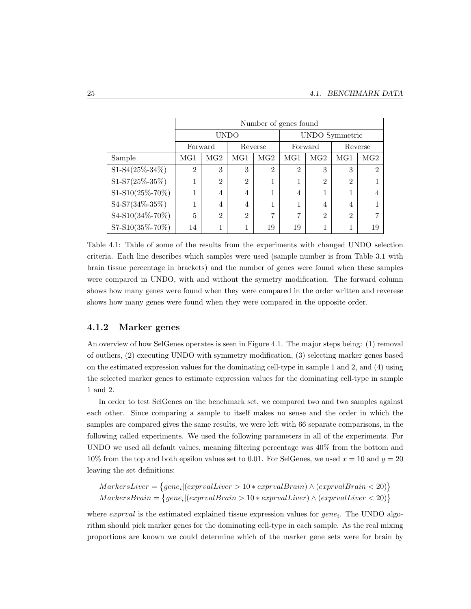|                      | Number of genes found  |                |                |                |                |                 |                |                 |  |  |
|----------------------|------------------------|----------------|----------------|----------------|----------------|-----------------|----------------|-----------------|--|--|
|                      |                        |                | <b>UNDO</b>    |                |                |                 | UNDO Symmetric |                 |  |  |
|                      | Forward<br>Reverse     |                |                |                |                | Forward         |                | Reverse         |  |  |
| Sample               | MG <sub>2</sub><br>MG1 |                | MG1            | MG2            | $_{\rm MG1}$   | MG <sub>2</sub> | MG1            | MG <sub>2</sub> |  |  |
| $S1-S4(25\% - 34\%)$ | $\overline{2}$         | 3              | 3              | $\overline{2}$ | $\overline{2}$ | 3               | 3              | $\mathfrak{D}$  |  |  |
| S1-S7(25%-35%)       |                        | $\overline{2}$ | $\overline{2}$ |                | 1              | $\overline{2}$  | $\overline{2}$ |                 |  |  |
| S1-S10(25%-70%)      |                        | $\overline{4}$ | 4              |                | 4              |                 | 1              | $\overline{4}$  |  |  |
| S4-S7(34%-35%)       |                        | $\overline{4}$ | 4              |                | 1              | 4               | 4              |                 |  |  |
| S4-S10(34%-70%)      | 5<br>$\mathfrak{D}$    |                | $\overline{2}$ | $\mathbf{r}$   | 7              | $\mathfrak{D}$  | $\overline{2}$ |                 |  |  |
| S7-S10(35%-70%)      | 14                     |                |                | 19             | 19             |                 | 1              | 19              |  |  |

Table 4.1: Table of some of the results from the experiments with changed UNDO selection criteria. Each line describes which samples were used (sample number is from Table 3.1 with brain tissue percentage in brackets) and the number of genes were found when these samples were compared in UNDO, with and without the symetry modification. The forward column shows how many genes were found when they were compared in the order written and reverese shows how many genes were found when they were compared in the opposite order.

#### 4.1.2 Marker genes

An overview of how SelGenes operates is seen in Figure 4.1. The major steps being: (1) removal of outliers, (2) executing UNDO with symmetry modification, (3) selecting marker genes based on the estimated expression values for the dominating cell-type in sample 1 and 2, and (4) using the selected marker genes to estimate expression values for the dominating cell-type in sample 1 and 2.

In order to test SelGenes on the benchmark set, we compared two and two samples against each other. Since comparing a sample to itself makes no sense and the order in which the samples are compared gives the same results, we were left with 66 separate comparisons, in the following called experiments. We used the following parameters in all of the experiments. For UNDO we used all default values, meaning filtering percentage was 40% from the bottom and 10% from the top and both epsilon values set to 0.01. For SelGenes, we used  $x = 10$  and  $y = 20$ leaving the set definitions:

$$
MarkersLiver = \{gene_i | (exprvalLiver > 10 * exprvalBrain) \land (exprvalBrain < 20) \}
$$

$$
MarkersBrain = \{ gene_i | (exprvalBrain > 10 * exprvalLiver) \land (exprvalLiver < 20) \}
$$

where  $\mathit{exprval}$  is the estimated explained tissue expression values for  $\mathit{gene}_i$ . The UNDO algorithm should pick marker genes for the dominating cell-type in each sample. As the real mixing proportions are known we could determine which of the marker gene sets were for brain by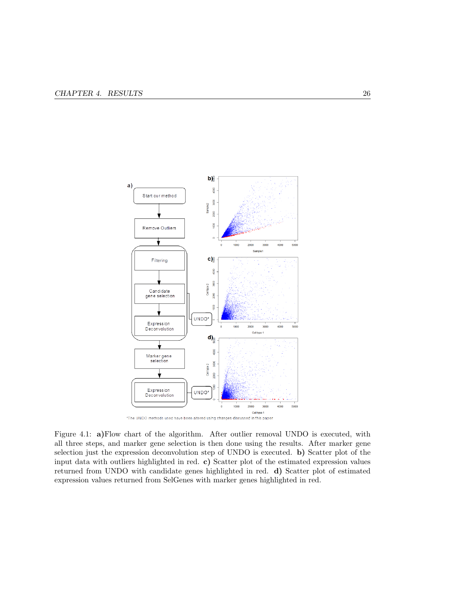

Figure 4.1: a)Flow chart of the algorithm. After outlier removal UNDO is executed, with all three steps, and marker gene selection is then done using the results. After marker gene selection just the expression deconvolution step of UNDO is executed. b) Scatter plot of the input data with outliers highlighted in red. c) Scatter plot of the estimated expression values returned from UNDO with candidate genes highlighted in red. d) Scatter plot of estimated expression values returned from SelGenes with marker genes highlighted in red.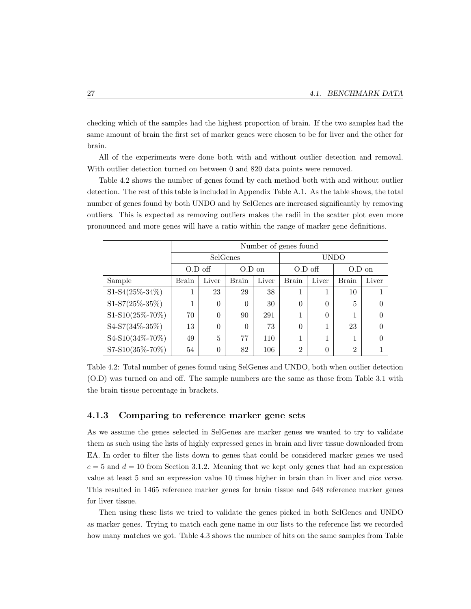checking which of the samples had the highest proportion of brain. If the two samples had the same amount of brain the first set of marker genes were chosen to be for liver and the other for brain.

All of the experiments were done both with and without outlier detection and removal. With outlier detection turned on between 0 and 820 data points were removed.

Table 4.2 shows the number of genes found by each method both with and without outlier detection. The rest of this table is included in Appendix Table A.1. As the table shows, the total number of genes found by both UNDO and by SelGenes are increased significantly by removing outliers. This is expected as removing outliers makes the radii in the scatter plot even more pronounced and more genes will have a ratio within the range of marker gene definitions.

|                      | Number of genes found |          |              |           |                |          |                |       |  |
|----------------------|-----------------------|----------|--------------|-----------|----------------|----------|----------------|-------|--|
|                      |                       |          | SelGenes     |           |                |          | UNDO           |       |  |
|                      | $O.D$ off<br>$O.D$ on |          |              | $O.D$ off |                | $O.D$ on |                |       |  |
| Sample               | <b>Brain</b>          | Liver    | <b>Brain</b> | Liver     | <b>Brain</b>   | Liver    | <b>Brain</b>   | Liver |  |
| $S1-S4(25\% - 34\%)$ |                       | 23       | 29           | 38        | 1              |          | 10             |       |  |
| S1-S7(25%-35%)       |                       | $\theta$ | 0            | 30        | $\theta$       | $\theta$ | 5              |       |  |
| S1-S10(25%-70%)      | 70                    | $\theta$ | 90           | 291       |                | $\Omega$ |                |       |  |
| S4-S7(34%-35%)       | 13                    | $\theta$ | 0            | 73        | $\theta$       |          | 23             |       |  |
| S4-S10(34%-70%)      | 5<br>49               |          | 77           | 110       |                |          | 1              |       |  |
| S7-S10(35%-70%)      | 54                    | $\Omega$ | 82           | 106       | $\overline{2}$ | 0        | $\overline{2}$ |       |  |

Table 4.2: Total number of genes found using SelGenes and UNDO, both when outlier detection (O.D) was turned on and off. The sample numbers are the same as those from Table 3.1 with the brain tissue percentage in brackets.

#### 4.1.3 Comparing to reference marker gene sets

As we assume the genes selected in SelGenes are marker genes we wanted to try to validate them as such using the lists of highly expressed genes in brain and liver tissue downloaded from EA. In order to filter the lists down to genes that could be considered marker genes we used  $c = 5$  and  $d = 10$  from Section 3.1.2. Meaning that we kept only genes that had an expression value at least 5 and an expression value 10 times higher in brain than in liver and vice versa. This resulted in 1465 reference marker genes for brain tissue and 548 reference marker genes for liver tissue.

Then using these lists we tried to validate the genes picked in both SelGenes and UNDO as marker genes. Trying to match each gene name in our lists to the reference list we recorded how many matches we got. Table 4.3 shows the number of hits on the same samples from Table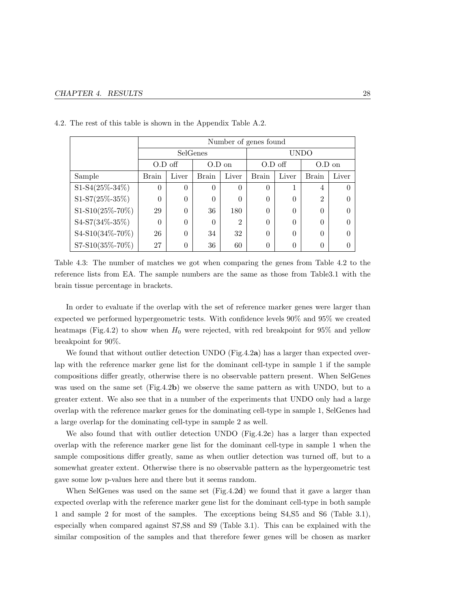|                      |                       | Number of genes found |          |                |                |          |                |                  |  |  |
|----------------------|-----------------------|-----------------------|----------|----------------|----------------|----------|----------------|------------------|--|--|
|                      |                       |                       | SelGenes |                |                |          | <b>UNDO</b>    |                  |  |  |
|                      | $O.D$ off<br>$O.D$ on |                       |          | $O.D$ off      |                | $O.D$ on |                |                  |  |  |
| Sample               | Brain                 | Liver                 | Brain    | Liver          | <b>Brain</b>   | Liver    | Brain          | Liver            |  |  |
| $S1-S4(25\% - 34\%)$ | $\Omega$              | $\theta$              | $\Omega$ | $\theta$       | $\theta$       |          | $\overline{4}$ | $\left( \right)$ |  |  |
| S1-S7(25%-35%)       | 0                     | $\theta$              | $\Omega$ | $\Omega$       | $\theta$       | $\Omega$ | $\overline{2}$ | 0                |  |  |
| S1-S10(25%-70%)      | 29                    | $\theta$              | 36       | 180            | $\theta$       | $\Omega$ | $\theta$       | 0                |  |  |
| S4-S7(34%-35%)       | 0                     | $\theta$              | $\Omega$ | $\mathfrak{D}$ | $\theta$       | $\Omega$ | $\theta$       | 0                |  |  |
| S4-S10(34%-70%)      | $\theta$<br>26        |                       | 34       | 32             | $\theta$       | 0        | $\theta$       | 0                |  |  |
| S7-S10(35%-70%)      | 27                    | $\overline{0}$        | 36       | 60             | $\overline{0}$ | $\theta$ | $\theta$       | $\left( \right)$ |  |  |

4.2. The rest of this table is shown in the Appendix Table A.2.

Table 4.3: The number of matches we got when comparing the genes from Table 4.2 to the reference lists from EA. The sample numbers are the same as those from Table3.1 with the brain tissue percentage in brackets.

In order to evaluate if the overlap with the set of reference marker genes were larger than expected we performed hypergeometric tests. With confidence levels 90% and 95% we created heatmaps (Fig.4.2) to show when  $H_0$  were rejected, with red breakpoint for 95% and yellow breakpoint for 90%.

We found that without outlier detection UNDO (Fig.4.2a) has a larger than expected overlap with the reference marker gene list for the dominant cell-type in sample 1 if the sample compositions differ greatly, otherwise there is no observable pattern present. When SelGenes was used on the same set (Fig.4.2b) we observe the same pattern as with UNDO, but to a greater extent. We also see that in a number of the experiments that UNDO only had a large overlap with the reference marker genes for the dominating cell-type in sample 1, SelGenes had a large overlap for the dominating cell-type in sample 2 as well.

We also found that with outlier detection UNDO (Fig.4.2c) has a larger than expected overlap with the reference marker gene list for the dominant cell-type in sample 1 when the sample compositions differ greatly, same as when outlier detection was turned off, but to a somewhat greater extent. Otherwise there is no observable pattern as the hypergeometric test gave some low p-values here and there but it seems random.

When SelGenes was used on the same set (Fig.4.2d) we found that it gave a larger than expected overlap with the reference marker gene list for the dominant cell-type in both sample 1 and sample 2 for most of the samples. The exceptions being S4,S5 and S6 (Table 3.1), especially when compared against S7,S8 and S9 (Table 3.1). This can be explained with the similar composition of the samples and that therefore fewer genes will be chosen as marker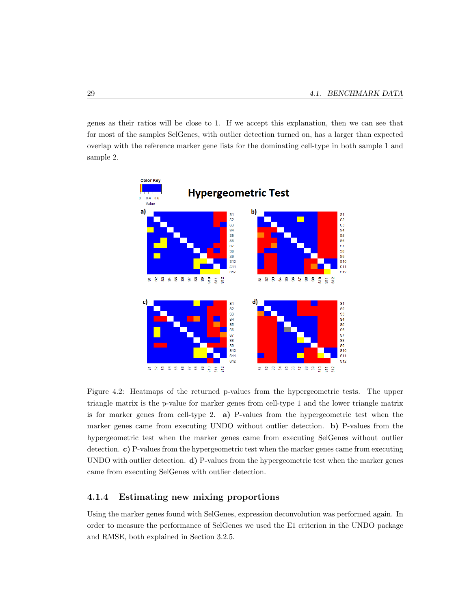genes as their ratios will be close to 1. If we accept this explanation, then we can see that for most of the samples SelGenes, with outlier detection turned on, has a larger than expected overlap with the reference marker gene lists for the dominating cell-type in both sample 1 and sample 2.



Figure 4.2: Heatmaps of the returned p-values from the hypergeometric tests. The upper triangle matrix is the p-value for marker genes from cell-type 1 and the lower triangle matrix is for marker genes from cell-type 2. a) P-values from the hypergeometric test when the marker genes came from executing UNDO without outlier detection. b) P-values from the hypergeometric test when the marker genes came from executing SelGenes without outlier detection. c) P-values from the hypergeometric test when the marker genes came from executing UNDO with outlier detection. d) P-values from the hypergeometric test when the marker genes came from executing SelGenes with outlier detection.

#### 4.1.4 Estimating new mixing proportions

Using the marker genes found with SelGenes, expression deconvolution was performed again. In order to measure the performance of SelGenes we used the E1 criterion in the UNDO package and RMSE, both explained in Section 3.2.5.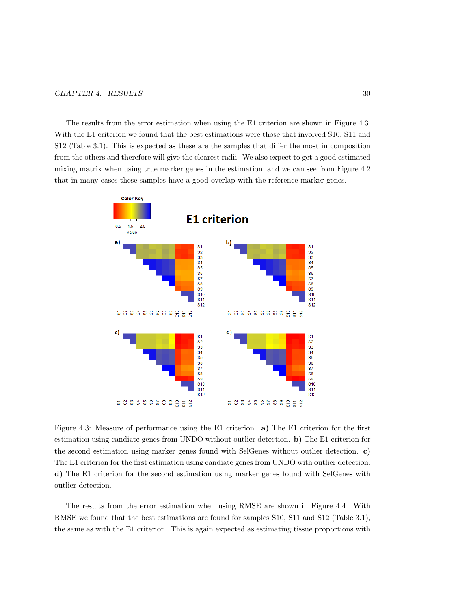The results from the error estimation when using the E1 criterion are shown in Figure 4.3. With the E1 criterion we found that the best estimations were those that involved S10, S11 and S12 (Table 3.1). This is expected as these are the samples that differ the most in composition from the others and therefore will give the clearest radii. We also expect to get a good estimated mixing matrix when using true marker genes in the estimation, and we can see from Figure 4.2 that in many cases these samples have a good overlap with the reference marker genes.



Figure 4.3: Measure of performance using the E1 criterion. a) The E1 criterion for the first estimation using candiate genes from UNDO without outlier detection. b) The E1 criterion for the second estimation using marker genes found with SelGenes without outlier detection. c) The E1 criterion for the first estimation using candiate genes from UNDO with outlier detection. d) The E1 criterion for the second estimation using marker genes found with SelGenes with outlier detection.

The results from the error estimation when using RMSE are shown in Figure 4.4. With RMSE we found that the best estimations are found for samples S10, S11 and S12 (Table 3.1), the same as with the E1 criterion. This is again expected as estimating tissue proportions with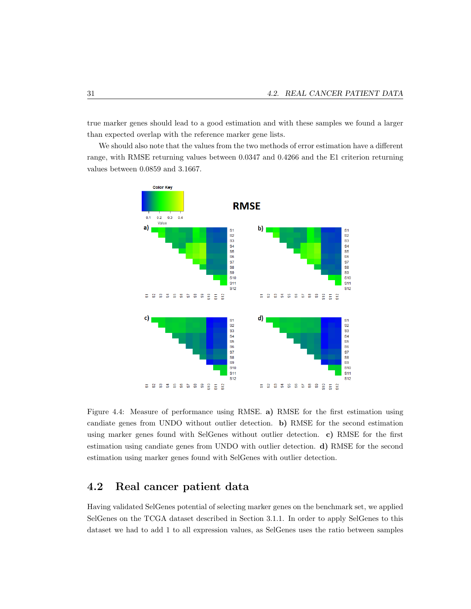true marker genes should lead to a good estimation and with these samples we found a larger than expected overlap with the reference marker gene lists.

We should also note that the values from the two methods of error estimation have a different range, with RMSE returning values between 0.0347 and 0.4266 and the E1 criterion returning values between 0.0859 and 3.1667.



Figure 4.4: Measure of performance using RMSE. a) RMSE for the first estimation using candiate genes from UNDO without outlier detection. b) RMSE for the second estimation using marker genes found with SelGenes without outlier detection. c) RMSE for the first estimation using candiate genes from UNDO with outlier detection. d) RMSE for the second estimation using marker genes found with SelGenes with outlier detection.

### 4.2 Real cancer patient data

Having validated SelGenes potential of selecting marker genes on the benchmark set, we applied SelGenes on the TCGA dataset described in Section 3.1.1. In order to apply SelGenes to this dataset we had to add 1 to all expression values, as SelGenes uses the ratio between samples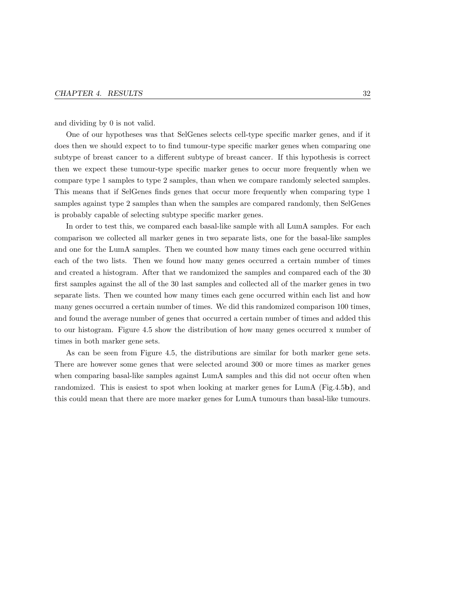and dividing by 0 is not valid.

One of our hypotheses was that SelGenes selects cell-type specific marker genes, and if it does then we should expect to to find tumour-type specific marker genes when comparing one subtype of breast cancer to a different subtype of breast cancer. If this hypothesis is correct then we expect these tumour-type specific marker genes to occur more frequently when we compare type 1 samples to type 2 samples, than when we compare randomly selected samples. This means that if SelGenes finds genes that occur more frequently when comparing type 1 samples against type 2 samples than when the samples are compared randomly, then SelGenes is probably capable of selecting subtype specific marker genes.

In order to test this, we compared each basal-like sample with all LumA samples. For each comparison we collected all marker genes in two separate lists, one for the basal-like samples and one for the LumA samples. Then we counted how many times each gene occurred within each of the two lists. Then we found how many genes occurred a certain number of times and created a histogram. After that we randomized the samples and compared each of the 30 first samples against the all of the 30 last samples and collected all of the marker genes in two separate lists. Then we counted how many times each gene occurred within each list and how many genes occurred a certain number of times. We did this randomized comparison 100 times, and found the average number of genes that occurred a certain number of times and added this to our histogram. Figure 4.5 show the distribution of how many genes occurred x number of times in both marker gene sets.

As can be seen from Figure 4.5, the distributions are similar for both marker gene sets. There are however some genes that were selected around 300 or more times as marker genes when comparing basal-like samples against LumA samples and this did not occur often when randomized. This is easiest to spot when looking at marker genes for LumA (Fig.4.5b), and this could mean that there are more marker genes for LumA tumours than basal-like tumours.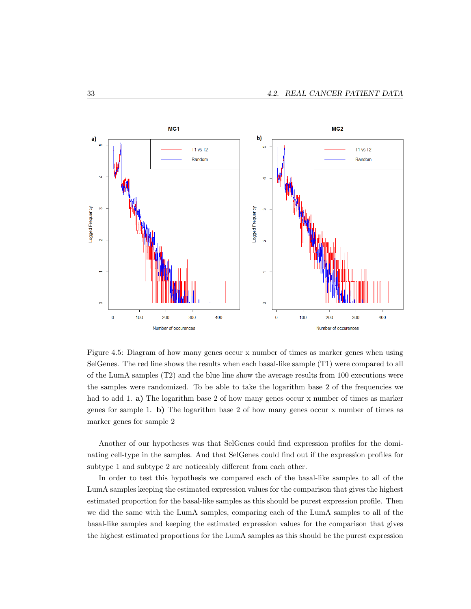

Figure 4.5: Diagram of how many genes occur x number of times as marker genes when using SelGenes. The red line shows the results when each basal-like sample (T1) were compared to all of the LumA samples (T2) and the blue line show the average results from 100 executions were the samples were randomized. To be able to take the logarithm base 2 of the frequencies we had to add 1. a) The logarithm base 2 of how many genes occur x number of times as marker genes for sample 1. b) The logarithm base 2 of how many genes occur x number of times as marker genes for sample 2

Another of our hypotheses was that SelGenes could find expression profiles for the dominating cell-type in the samples. And that SelGenes could find out if the expression profiles for subtype 1 and subtype 2 are noticeably different from each other.

In order to test this hypothesis we compared each of the basal-like samples to all of the LumA samples keeping the estimated expression values for the comparison that gives the highest estimated proportion for the basal-like samples as this should be purest expression profile. Then we did the same with the LumA samples, comparing each of the LumA samples to all of the basal-like samples and keeping the estimated expression values for the comparison that gives the highest estimated proportions for the LumA samples as this should be the purest expression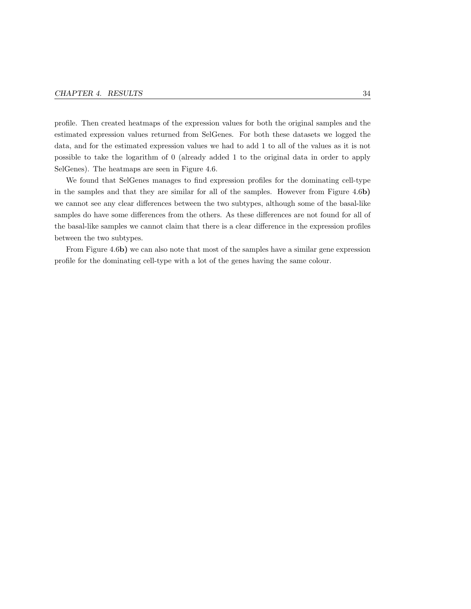profile. Then created heatmaps of the expression values for both the original samples and the estimated expression values returned from SelGenes. For both these datasets we logged the data, and for the estimated expression values we had to add 1 to all of the values as it is not possible to take the logarithm of 0 (already added 1 to the original data in order to apply SelGenes). The heatmaps are seen in Figure 4.6.

We found that SelGenes manages to find expression profiles for the dominating cell-type in the samples and that they are similar for all of the samples. However from Figure 4.6b) we cannot see any clear differences between the two subtypes, although some of the basal-like samples do have some differences from the others. As these differences are not found for all of the basal-like samples we cannot claim that there is a clear difference in the expression profiles between the two subtypes.

From Figure 4.6b) we can also note that most of the samples have a similar gene expression profile for the dominating cell-type with a lot of the genes having the same colour.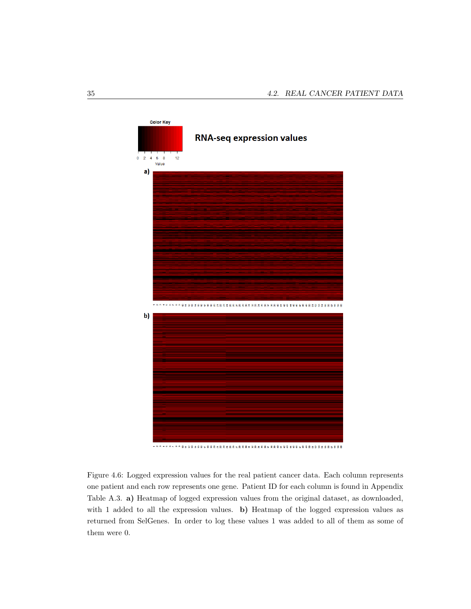

Figure 4.6: Logged expression values for the real patient cancer data. Each column represents one patient and each row represents one gene. Patient ID for each column is found in Appendix Table A.3. a) Heatmap of logged expression values from the original dataset, as downloaded, with 1 added to all the expression values. **b**) Heatmap of the logged expression values as returned from SelGenes. In order to log these values 1 was added to all of them as some of them were 0.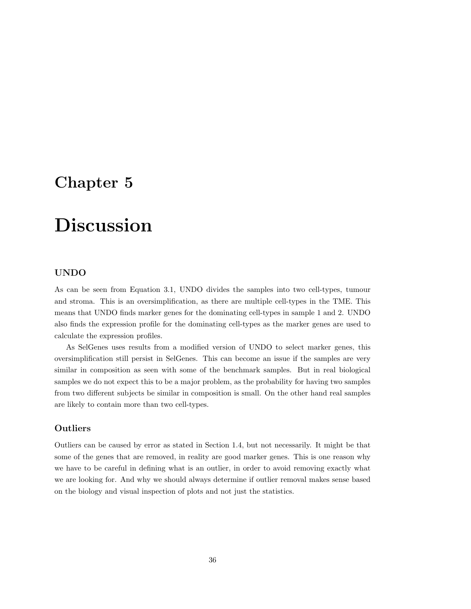## Chapter 5

## Discussion

#### UNDO

As can be seen from Equation 3.1, UNDO divides the samples into two cell-types, tumour and stroma. This is an oversimplification, as there are multiple cell-types in the TME. This means that UNDO finds marker genes for the dominating cell-types in sample 1 and 2. UNDO also finds the expression profile for the dominating cell-types as the marker genes are used to calculate the expression profiles.

As SelGenes uses results from a modified version of UNDO to select marker genes, this oversimplification still persist in SelGenes. This can become an issue if the samples are very similar in composition as seen with some of the benchmark samples. But in real biological samples we do not expect this to be a major problem, as the probability for having two samples from two different subjects be similar in composition is small. On the other hand real samples are likely to contain more than two cell-types.

#### **Outliers**

Outliers can be caused by error as stated in Section 1.4, but not necessarily. It might be that some of the genes that are removed, in reality are good marker genes. This is one reason why we have to be careful in defining what is an outlier, in order to avoid removing exactly what we are looking for. And why we should always determine if outlier removal makes sense based on the biology and visual inspection of plots and not just the statistics.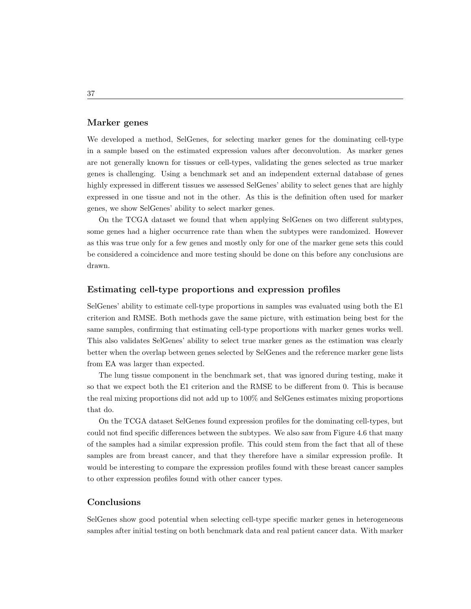#### Marker genes

We developed a method, SelGenes, for selecting marker genes for the dominating cell-type in a sample based on the estimated expression values after deconvolution. As marker genes are not generally known for tissues or cell-types, validating the genes selected as true marker genes is challenging. Using a benchmark set and an independent external database of genes highly expressed in different tissues we assessed SelGenes' ability to select genes that are highly expressed in one tissue and not in the other. As this is the definition often used for marker genes, we show SelGenes' ability to select marker genes.

On the TCGA dataset we found that when applying SelGenes on two different subtypes, some genes had a higher occurrence rate than when the subtypes were randomized. However as this was true only for a few genes and mostly only for one of the marker gene sets this could be considered a coincidence and more testing should be done on this before any conclusions are drawn.

#### Estimating cell-type proportions and expression profiles

SelGenes' ability to estimate cell-type proportions in samples was evaluated using both the E1 criterion and RMSE. Both methods gave the same picture, with estimation being best for the same samples, confirming that estimating cell-type proportions with marker genes works well. This also validates SelGenes' ability to select true marker genes as the estimation was clearly better when the overlap between genes selected by SelGenes and the reference marker gene lists from EA was larger than expected.

The lung tissue component in the benchmark set, that was ignored during testing, make it so that we expect both the E1 criterion and the RMSE to be different from 0. This is because the real mixing proportions did not add up to 100% and SelGenes estimates mixing proportions that do.

On the TCGA dataset SelGenes found expression profiles for the dominating cell-types, but could not find specific differences between the subtypes. We also saw from Figure 4.6 that many of the samples had a similar expression profile. This could stem from the fact that all of these samples are from breast cancer, and that they therefore have a similar expression profile. It would be interesting to compare the expression profiles found with these breast cancer samples to other expression profiles found with other cancer types.

#### Conclusions

SelGenes show good potential when selecting cell-type specific marker genes in heterogeneous samples after initial testing on both benchmark data and real patient cancer data. With marker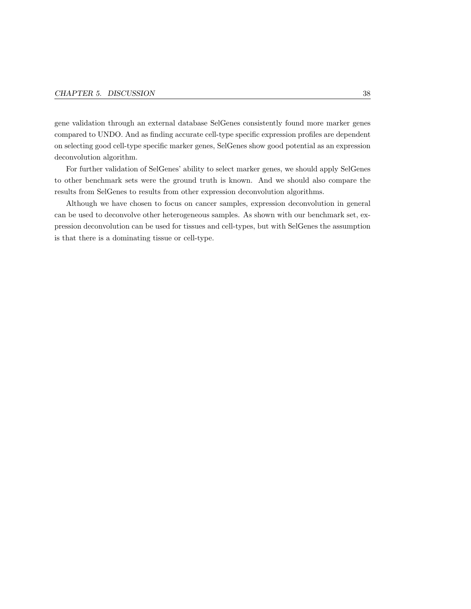gene validation through an external database SelGenes consistently found more marker genes compared to UNDO. And as finding accurate cell-type specific expression profiles are dependent on selecting good cell-type specific marker genes, SelGenes show good potential as an expression deconvolution algorithm.

For further validation of SelGenes' ability to select marker genes, we should apply SelGenes to other benchmark sets were the ground truth is known. And we should also compare the results from SelGenes to results from other expression deconvolution algorithms.

Although we have chosen to focus on cancer samples, expression deconvolution in general can be used to deconvolve other heterogeneous samples. As shown with our benchmark set, expression deconvolution can be used for tissues and cell-types, but with SelGenes the assumption is that there is a dominating tissue or cell-type.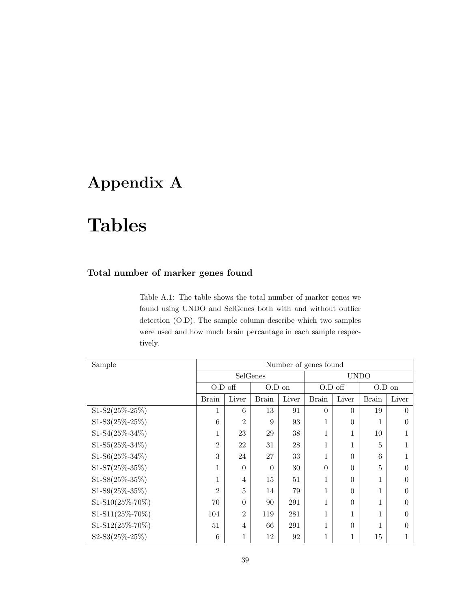## Appendix A

# Tables

### Total number of marker genes found

Table A.1: The table shows the total number of marker genes we found using UNDO and SelGenes both with and without outlier detection (O.D). The sample column describe which two samples were used and how much brain percantage in each sample respectively.

| Sample               | Number of genes found |                |          |       |              |          |              |       |  |
|----------------------|-----------------------|----------------|----------|-------|--------------|----------|--------------|-------|--|
|                      |                       | SelGenes       |          |       | <b>UNDO</b>  |          |              |       |  |
|                      | $O.D$ off             |                | O.D on   |       | $O.D$ off    |          | $O.D$ on     |       |  |
|                      | <b>Brain</b>          | Liver          | Brain    | Liver | <b>Brain</b> | Liver    | <b>Brain</b> | Liver |  |
| $S1-S2(25\% - 25\%)$ |                       | 6              | 13       | 91    | $\theta$     | $\Omega$ | 19           | 0     |  |
| $S1-S3(25\% - 25\%)$ | 6                     | $\overline{2}$ | 9        | 93    | 1            | $\theta$ |              |       |  |
| $S1-S4(25\% - 34\%)$ | 1                     | 23             | 29       | 38    | 1            | 1        | 10           |       |  |
| $S1-S5(25\% - 34\%)$ | $\overline{2}$        | 22             | 31       | 28    | $\mathbf{1}$ | 1        | 5            |       |  |
| $S1-S6(25\% - 34\%)$ | 3                     | 24             | 27       | 33    | 1            | $\theta$ | 6            |       |  |
| $S1-S7(25\% - 35\%)$ | 1                     | $\Omega$       | $\theta$ | 30    | $\theta$     | $\theta$ | 5            | 0     |  |
| $S1-S8(25\% - 35\%)$ |                       | $\overline{4}$ | 15       | 51    | $\mathbf{1}$ | $\Omega$ | 1            |       |  |
| $S1-S9(25\% - 35\%)$ | $\overline{2}$        | 5              | 14       | 79    | 1            | $\theta$ | 1            |       |  |
| S1-S10(25%-70%)      | 70                    | $\Omega$       | 90       | 291   | 1            | $\theta$ | 1            |       |  |
| S1-S11(25%-70%)      | 104                   | $\overline{2}$ | 119      | 281   | 1            | 1        | 1            |       |  |
| S1-S12(25%-70%)      | 51                    | $\overline{4}$ | 66       | 291   | $\mathbf{1}$ | $\theta$ | 1            |       |  |
| $S2-S3(25\% - 25\%)$ | 6                     | $\mathbf{1}$   | 12       | 92    | $\mathbf{1}$ | 1        | 15           |       |  |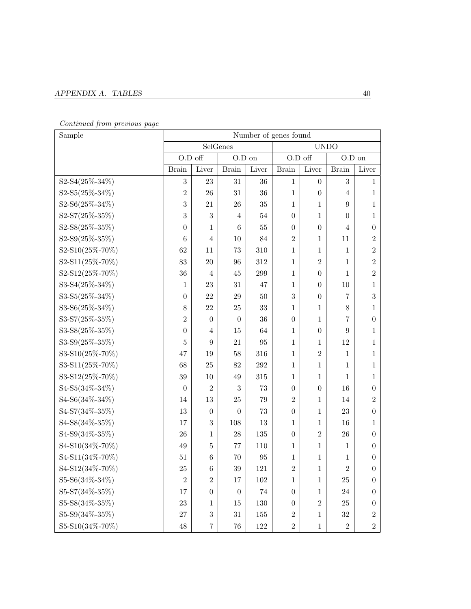### $\bf APPENDIX\ A.\quad TABLES$

### Continued from previous page

| Sample               | Number of genes found |                  |                  |         |                  |                  |                |                  |  |
|----------------------|-----------------------|------------------|------------------|---------|------------------|------------------|----------------|------------------|--|
|                      | SelGenes              |                  |                  |         | <b>UNDO</b>      |                  |                |                  |  |
|                      | O.D off               |                  | $O.D$ on         |         | O.D off          |                  | $O.D$ on       |                  |  |
|                      | <b>Brain</b>          | Liver            | <b>Brain</b>     | Liver   | <b>Brain</b>     | Liver            | <b>Brain</b>   | Liver            |  |
| S2-S4(25%-34%)       | $\sqrt{3}$            | 23               | 31               | 36      | $\mathbf{1}$     | $\overline{0}$   | 3              | $\mathbf{1}$     |  |
| S2-S5(25%-34%)       | $\overline{2}$        | 26               | 31               | 36      | $\mathbf{1}$     | $\boldsymbol{0}$ | 4              | 1                |  |
| S2-S6(25%-34%)       | 3                     | 21               | 26               | 35      | $\mathbf{1}$     | $\mathbf{1}$     | 9              | $\mathbf{1}$     |  |
| S2-S7(25%-35%)       | 3                     | 3                | 4                | 54      | $\theta$         | 1                | $\theta$       | 1                |  |
| S2-S8(25%-35%)       | $\theta$              | 1                | 6                | 55      | $\theta$         | $\boldsymbol{0}$ | $\overline{4}$ | $\boldsymbol{0}$ |  |
| S2-S9(25%-35%)       | 6                     | $\overline{4}$   | 10               | 84      | $\overline{2}$   | 1                | 11             | $\overline{2}$   |  |
| S2-S10(25%-70%)      | 62                    | 11               | 73               | 310     | $\mathbf{1}$     | 1                | $\mathbf{1}$   | $\overline{2}$   |  |
| S2-S11(25%-70%)      | 83                    | 20               | 96               | 312     | 1                | $\overline{2}$   | $\mathbf{1}$   | $\overline{2}$   |  |
| S2-S12(25%-70%)      | 36                    | $\overline{4}$   | 45               | 299     | $\mathbf{1}$     | $\boldsymbol{0}$ | $\mathbf{1}$   | $\overline{2}$   |  |
| S3-S4(25%-34%)       | 1                     | 23               | 31               | 47      | 1                | $\boldsymbol{0}$ | 10             | 1                |  |
| S3-S5(25%-34%)       | $\boldsymbol{0}$      | 22               | 29               | 50      | 3                | $\overline{0}$   | 7              | 3                |  |
| S3-S6(25%-34%)       | 8                     | 22               | 25               | 33      | 1                | 1                | 8              | 1                |  |
| S3-S7(25%-35%)       | $\overline{2}$        | $\boldsymbol{0}$ | $\boldsymbol{0}$ | 36      | $\boldsymbol{0}$ | 1                | 7              | $\boldsymbol{0}$ |  |
| S3-S8(25%-35%)       | $\boldsymbol{0}$      | $\overline{4}$   | 15               | 64      | 1                | $\boldsymbol{0}$ | 9              | 1                |  |
| S3-S9(25%-35%)       | 5                     | 9                | 21               | 95      | 1                | 1                | 12             | 1                |  |
| S3-S10(25%-70%)      | 47                    | 19               | 58               | 316     | 1                | $\overline{2}$   | 1              | 1                |  |
| S3-S11(25%-70%)      | 68                    | 25               | 82               | $\,292$ | $\mathbf{1}$     | 1                | 1              | $\mathbf{1}$     |  |
| S3-S12(25%-70%)      | $39\,$                | 10               | 49               | 315     | 1                | 1                | 1              | 1                |  |
| S4-S5(34%-34%)       | $\theta$              | $\mathbf{2}$     | 3                | 73      | $\boldsymbol{0}$ | $\boldsymbol{0}$ | 16             | $\boldsymbol{0}$ |  |
| S4-S6(34%-34%)       | 14                    | 13               | 25               | 79      | $\overline{2}$   | 1                | 14             | $\overline{2}$   |  |
| S4-S7(34%-35%)       | 13                    | $\boldsymbol{0}$ | $\boldsymbol{0}$ | 73      | $\boldsymbol{0}$ | 1                | 23             | $\boldsymbol{0}$ |  |
| S4-S8(34%-35%)       | 17                    | 3                | 108              | 13      | 1                | 1                | 16             | 1                |  |
| S4-S9(34%-35%)       | 26                    | 1                | 28               | 135     | $\overline{0}$   | $\overline{2}$   | 26             | $\boldsymbol{0}$ |  |
| S4-S10(34%-70%)      | 49                    | 5                | 77               | 110     | 1                | 1                | 1              | $\overline{0}$   |  |
| S4-S11(34%-70%)      | 51                    | $\,6$            | 70               | 95      | 1                | 1                | 1              | $\theta$         |  |
| S4-S12(34%-70%)      | 25                    | $\,6$            | 39               | 121     | $\overline{2}$   | $\mathbf 1$      | $\overline{2}$ | $\boldsymbol{0}$ |  |
| S5-S6(34%-34%)       | $\overline{2}$        | $\overline{2}$   | 17               | 102     | 1                | 1                | $25\,$         | $\boldsymbol{0}$ |  |
| S5-S7(34%-35%)       | 17                    | $\boldsymbol{0}$ | $\theta$         | 74      | $\boldsymbol{0}$ | 1                | 24             | $\boldsymbol{0}$ |  |
| S5-S8(34%-35%)       | 23                    | 1                | 15               | 130     | $\boldsymbol{0}$ | $\overline{2}$   | 25             | $\theta$         |  |
| $S5-S9(34\% - 35\%)$ | 27                    | $\boldsymbol{3}$ | 31               | $155\,$ | $\overline{2}$   | $\mathbf{1}$     | $32\,$         | $\overline{2}$   |  |
| S5-S10(34%-70%)      | $48\,$                | 7                | $76\,$           | $122\,$ | $\overline{2}$   | $\mathbf{1}$     | $\,2$          | $\sqrt{2}$       |  |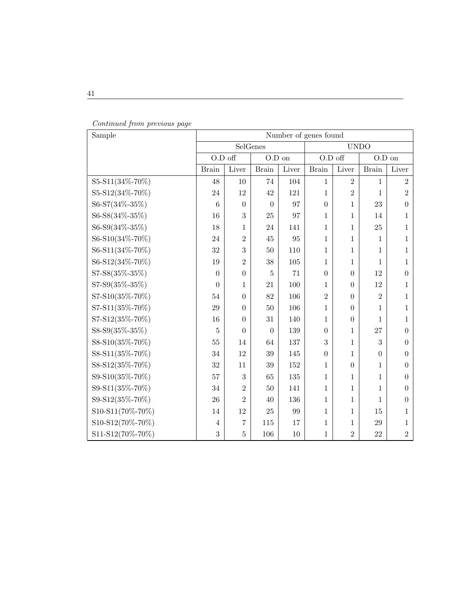| Sample           | Number of genes found |                |                |       |                |                  |                |                  |
|------------------|-----------------------|----------------|----------------|-------|----------------|------------------|----------------|------------------|
|                  |                       | SelGenes       |                |       | <b>UNDO</b>    |                  |                |                  |
|                  | O.D off               |                | $O.D$ on       |       | O.D off        |                  | $O.D$ on       |                  |
|                  | <b>Brain</b>          | Liver          | <b>Brain</b>   | Liver | <b>Brain</b>   | Liver            | <b>Brain</b>   | Liver            |
| S5-S11(34%-70%)  | 48                    | 10             | 74             | 104   | 1              | $\overline{2}$   | 1              | $\overline{2}$   |
| S5-S12(34%-70%)  | 24                    | 12             | 42             | 121   | $\mathbf 1$    | $\overline{2}$   | 1              | $\overline{2}$   |
| S6-S7(34%-35%)   | 6                     | $\overline{0}$ | $\Omega$       | 97    | $\overline{0}$ | $\mathbf 1$      | 23             | $\theta$         |
| S6-S8(34%-35%)   | 16                    | 3              | 25             | 97    | $\mathbf{1}$   | 1                | 14             | 1                |
| S6-S9(34%-35%)   | 18                    | 1              | 24             | 141   | 1              | 1                | 25             | 1                |
| S6-S10(34%-70%)  | 24                    | $\overline{2}$ | 45             | 95    | $\mathbf{1}$   | 1                | 1              | 1                |
| S6-S11(34%-70%)  | 32                    | 3              | 50             | 110   | 1              | 1                | 1              | 1                |
| S6-S12(34%-70%)  | 19                    | $\overline{2}$ | 38             | 105   | 1              | 1                | 1              | 1                |
| S7-S8(35%-35%)   | $\theta$              | $\theta$       | $\overline{5}$ | 71    | $\overline{0}$ | $\overline{0}$   | 12             | $\theta$         |
| S7-S9(35%-35%)   | $\theta$              | 1              | 21             | 100   | 1              | $\overline{0}$   | 12             | 1                |
| S7-S10(35%-70%)  | 54                    | $\theta$       | 82             | 106   | $\overline{2}$ | $\overline{0}$   | $\overline{2}$ | 1                |
| S7-S11(35%-70%)  | 29                    | $\theta$       | 50             | 106   | $\mathbf 1$    | $\overline{0}$   | $\mathbf{1}$   | 1                |
| S7-S12(35%-70%)  | 16                    | $\theta$       | 31             | 140   | 1              | $\boldsymbol{0}$ | 1              | $\mathbf{1}$     |
| S8-S9(35%-35%)   | 5                     | $\theta$       | $\theta$       | 139   | $\theta$       | 1                | 27             | $\theta$         |
| S8-S10(35%-70%)  | 55                    | 14             | 64             | 137   | 3              | 1                | 3              | $\theta$         |
| S8-S11(35%-70%)  | 34                    | 12             | 39             | 145   | $\overline{0}$ | 1                | $\overline{0}$ | $\boldsymbol{0}$ |
| S8-S12(35%-70%)  | 32                    | 11             | 39             | 152   | 1              | $\overline{0}$   | $\mathbf{1}$   | $\theta$         |
| S9-S10(35%-70%)  | 57                    | 3              | 65             | 135   | 1              | 1                | $\mathbf 1$    | $\theta$         |
| S9-S11(35%-70%)  | 34                    | $\overline{2}$ | 50             | 141   | $\mathbf{1}$   | 1                | 1              | $\theta$         |
| S9-S12(35%-70%)  | 26                    | $\overline{2}$ | 40             | 136   | $\mathbf{1}$   | 1                | 1              | $\boldsymbol{0}$ |
| S10-S11(70%-70%) | 14                    | 12             | 25             | 99    | 1              | 1                | 15             | 1                |
| S10-S12(70%-70%) | $\overline{4}$        | $\overline{7}$ | 115            | 17    | $\mathbf 1$    | 1                | 29             | 1                |
| S11-S12(70%-70%) | 3                     | 5              | 106            | 10    | $\mathbf 1$    | $\overline{2}$   | 22             | $\overline{2}$   |

|  | Continued from previous page |  |  |  |
|--|------------------------------|--|--|--|
|--|------------------------------|--|--|--|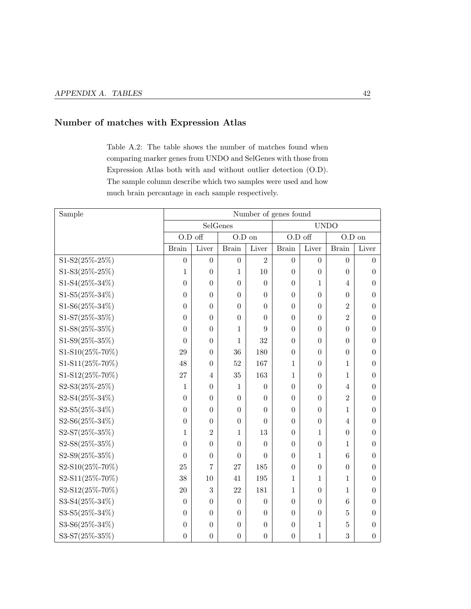### Number of matches with Expression Atlas

Table A.2: The table shows the number of matches found when comparing marker genes from UNDO and SelGenes with those from Expression Atlas both with and without outlier detection (O.D). The sample column describe which two samples were used and how much brain percantage in each sample respectively.

| Sample          | Number of genes found |                  |                  |                  |                  |                  |                |                  |
|-----------------|-----------------------|------------------|------------------|------------------|------------------|------------------|----------------|------------------|
|                 | SelGenes              |                  |                  | <b>UNDO</b>      |                  |                  |                |                  |
|                 | O.D off               |                  | $O.D$ on         |                  | O.D off          |                  | $O.D$ on       |                  |
|                 | <b>Brain</b>          | Liver            | <b>Brain</b>     | Liver            | <b>Brain</b>     | Liver            | <b>Brain</b>   | Liver            |
| S1-S2(25%-25%)  | $\boldsymbol{0}$      | $\overline{0}$   | $\boldsymbol{0}$ | $\overline{2}$   | $\boldsymbol{0}$ | $\overline{0}$   | $\overline{0}$ | $\overline{0}$   |
| S1-S3(25%-25%)  | 1                     | $\overline{0}$   | 1                | 10               | $\overline{0}$   | $\overline{0}$   | $\theta$       | $\theta$         |
| S1-S4(25%-34%)  | $\overline{0}$        | $\boldsymbol{0}$ | $\overline{0}$   | $\theta$         | $\theta$         | 1                | $\overline{4}$ | $\theta$         |
| S1-S5(25%-34%)  | $\overline{0}$        | $\overline{0}$   | $\overline{0}$   | $\overline{0}$   | $\theta$         | $\theta$         | $\theta$       | 0                |
| S1-S6(25%-34%)  | $\overline{0}$        | $\overline{0}$   | $\overline{0}$   | $\overline{0}$   | $\overline{0}$   | $\theta$         | $\overline{2}$ | 0                |
| S1-S7(25%-35%)  | $\overline{0}$        | $\overline{0}$   | $\overline{0}$   | $\overline{0}$   | $\overline{0}$   | $\overline{0}$   | $\overline{2}$ | 0                |
| S1-S8(25%-35%)  | $\theta$              | $\overline{0}$   | $\mathbf{1}$     | 9                | $\overline{0}$   | $\theta$         | $\theta$       | 0                |
| S1-S9(25%-35%)  | $\overline{0}$        | $\boldsymbol{0}$ | $\mathbf{1}$     | 32               | $\overline{0}$   | $\boldsymbol{0}$ | $\overline{0}$ | $\overline{0}$   |
| S1-S10(25%-70%) | 29                    | $\overline{0}$   | 36               | 180              | $\theta$         | $\theta$         | $\theta$       | 0                |
| S1-S11(25%-70%) | 48                    | $\boldsymbol{0}$ | 52               | 167              | 1                | $\theta$         | 1              | 0                |
| S1-S12(25%-70%) | 27                    | $\overline{4}$   | 35               | 163              | 1                | $\overline{0}$   | 1              | 0                |
| S2-S3(25%-25%)  | 1                     | $\overline{0}$   | 1                | $\theta$         | $\overline{0}$   | $\overline{0}$   | $\overline{4}$ | 0                |
| S2-S4(25%-34%)  | $\overline{0}$        | $\overline{0}$   | $\overline{0}$   | $\overline{0}$   | $\overline{0}$   | $\overline{0}$   | $\overline{2}$ | 0                |
| S2-S5(25%-34%)  | $\theta$              | $\theta$         | $\overline{0}$   | $\overline{0}$   | $\overline{0}$   | $\theta$         | 1              | 0                |
| S2-S6(25%-34%)  | $\overline{0}$        | $\boldsymbol{0}$ | $\boldsymbol{0}$ | $\overline{0}$   | $\overline{0}$   | $\boldsymbol{0}$ | $\overline{4}$ | $\overline{0}$   |
| S2-S7(25%-35%)  | 1                     | $\overline{2}$   | $\mathbf{1}$     | 13               | $\overline{0}$   | $\mathbf{1}$     | $\theta$       | 0                |
| S2-S8(25%-35%)  | $\overline{0}$        | $\overline{0}$   | $\overline{0}$   | $\overline{0}$   | $\theta$         | $\overline{0}$   | 1              | 0                |
| S2-S9(25%-35%)  | $\overline{0}$        | $\overline{0}$   | $\overline{0}$   | $\overline{0}$   | $\overline{0}$   | $\mathbf 1$      | 6              | 0                |
| S2-S10(25%-70%) | 25                    | 7                | 27               | 185              | $\theta$         | $\theta$         | $\theta$       | 0                |
| S2-S11(25%-70%) | 38                    | 10               | 41               | 195              | 1                | 1                | 1              | $\overline{0}$   |
| S2-S12(25%-70%) | 20                    | 3                | 22               | 181              | 1                | $\overline{0}$   | 1              | 0                |
| S3-S4(25%-34%)  | $\overline{0}$        | $\overline{0}$   | $\overline{0}$   | $\boldsymbol{0}$ | $\overline{0}$   | $\overline{0}$   | 6              | $\overline{0}$   |
| S3-S5(25%-34%)  | $\boldsymbol{0}$      | $\boldsymbol{0}$ | $\overline{0}$   | $\boldsymbol{0}$ | $\overline{0}$   | $\overline{0}$   | 5              | $\overline{0}$   |
| S3-S6(25%-34%)  | $\overline{0}$        | $\overline{0}$   | $\overline{0}$   | $\overline{0}$   | $\overline{0}$   | 1                | 5              | 0                |
| S3-S7(25%-35%)  | $\boldsymbol{0}$      | $\boldsymbol{0}$ | $\boldsymbol{0}$ | $\boldsymbol{0}$ | $\overline{0}$   | $\mathbf 1$      | 3              | $\boldsymbol{0}$ |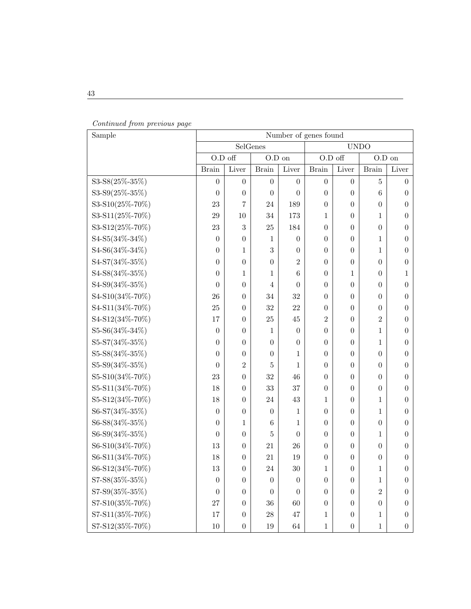| Sample               | Number of genes found |                  |                  |                  |                  |                  |                  |                  |
|----------------------|-----------------------|------------------|------------------|------------------|------------------|------------------|------------------|------------------|
|                      | SelGenes              |                  |                  | <b>UNDO</b>      |                  |                  |                  |                  |
|                      | O.D off               |                  | $O.D$ on         |                  | O.D off          |                  | $O.D$ on         |                  |
|                      | <b>Brain</b>          | Liver            | <b>Brain</b>     | Liver            | <b>Brain</b>     | Liver            | <b>Brain</b>     | Liver            |
| S3-S8(25%-35%)       | $\theta$              | $\theta$         | $\boldsymbol{0}$ | $\boldsymbol{0}$ | $\boldsymbol{0}$ | $\boldsymbol{0}$ | 5                | $\boldsymbol{0}$ |
| $S3-S9(25\% - 35\%)$ | $\theta$              | $\boldsymbol{0}$ | $\theta$         | $\theta$         | $\boldsymbol{0}$ | $\boldsymbol{0}$ | 6                | $\boldsymbol{0}$ |
| S3-S10(25%-70%)      | 23                    | $\overline{7}$   | 24               | 189              | $\boldsymbol{0}$ | $\boldsymbol{0}$ | $\theta$         | $\boldsymbol{0}$ |
| S3-S11(25%-70%)      | 29                    | 10               | 34               | 173              | 1                | $\boldsymbol{0}$ | 1                | $\boldsymbol{0}$ |
| S3-S12(25%-70%)      | 23                    | 3                | 25               | 184              | $\boldsymbol{0}$ | $\boldsymbol{0}$ | $\boldsymbol{0}$ | $\boldsymbol{0}$ |
| S4-S5(34%-34%)       | $\theta$              | $\boldsymbol{0}$ | 1                | $\theta$         | $\boldsymbol{0}$ | $\boldsymbol{0}$ | 1                | $\boldsymbol{0}$ |
| S4-S6(34%-34%)       | $\boldsymbol{0}$      | 1                | $\sqrt{3}$       | $\boldsymbol{0}$ | $\theta$         | $\boldsymbol{0}$ | 1                | $\boldsymbol{0}$ |
| S4-S7(34%-35%)       | $\theta$              | $\overline{0}$   | $\boldsymbol{0}$ | $\overline{2}$   | $\overline{0}$   | $\boldsymbol{0}$ | $\boldsymbol{0}$ | $\boldsymbol{0}$ |
| S4-S8(34%-35%)       | $\theta$              | 1                | 1                | 6                | $\boldsymbol{0}$ | 1                | $\boldsymbol{0}$ | 1                |
| S4-S9(34%-35%)       | $\boldsymbol{0}$      | $\theta$         | $\overline{4}$   | $\theta$         | $\boldsymbol{0}$ | $\boldsymbol{0}$ | $\boldsymbol{0}$ | $\boldsymbol{0}$ |
| S4-S10(34%-70%)      | 26                    | $\theta$         | 34               | 32               | $\boldsymbol{0}$ | $\boldsymbol{0}$ | $\boldsymbol{0}$ | $\boldsymbol{0}$ |
| S4-S11(34%-70%)      | 25                    | $\theta$         | 32               | 22               | $\boldsymbol{0}$ | $\boldsymbol{0}$ | $\boldsymbol{0}$ | $\boldsymbol{0}$ |
| S4-S12(34%-70%)      | 17                    | $\theta$         | 25               | 45               | $\overline{2}$   | $\boldsymbol{0}$ | $\overline{2}$   | $\theta$         |
| S5-S6(34%-34%)       | $\boldsymbol{0}$      | $\boldsymbol{0}$ | 1                | $\boldsymbol{0}$ | $\boldsymbol{0}$ | $\boldsymbol{0}$ | 1                | $\boldsymbol{0}$ |
| S5-S7(34%-35%)       | $\boldsymbol{0}$      | $\theta$         | $\theta$         | $\boldsymbol{0}$ | $\boldsymbol{0}$ | $\boldsymbol{0}$ | 1                | $\boldsymbol{0}$ |
| S5-S8(34%-35%)       | $\theta$              | $\boldsymbol{0}$ | $\theta$         | 1                | $\boldsymbol{0}$ | $\boldsymbol{0}$ | $\boldsymbol{0}$ | $\boldsymbol{0}$ |
| S5-S9(34%-35%)       | $\theta$              | $\overline{2}$   | 5                | 1                | $\boldsymbol{0}$ | $\boldsymbol{0}$ | $\boldsymbol{0}$ | $\theta$         |
| S5-S10(34%-70%)      | 23                    | $\boldsymbol{0}$ | 32               | 46               | $\boldsymbol{0}$ | $\boldsymbol{0}$ | $\boldsymbol{0}$ | $\boldsymbol{0}$ |
| S5-S11(34%-70%)      | 18                    | $\theta$         | 33               | 37               | $\boldsymbol{0}$ | $\boldsymbol{0}$ | $\boldsymbol{0}$ | $\boldsymbol{0}$ |
| S5-S12(34%-70%)      | 18                    | $\theta$         | 24               | 43               | 1                | $\boldsymbol{0}$ | 1                | $\boldsymbol{0}$ |
| S6-S7(34%-35%)       | $\theta$              | $\theta$         | $\theta$         | 1                | $\boldsymbol{0}$ | $\boldsymbol{0}$ | 1                | $\boldsymbol{0}$ |
| S6-S8(34%-35%)       | $\theta$              | $\mathbf{1}$     | 6                | 1                | $\boldsymbol{0}$ | $\boldsymbol{0}$ | $\boldsymbol{0}$ | $\boldsymbol{0}$ |
| S6-S9(34%-35%)       | $\theta$              | $\theta$         | 5                | $\theta$         | $\boldsymbol{0}$ | $\boldsymbol{0}$ | 1                | $\boldsymbol{0}$ |
| S6-S10(34%-70%)      | 13                    | $\theta$         | 21               | 26               | $\boldsymbol{0}$ | $\boldsymbol{0}$ | $\boldsymbol{0}$ | $\boldsymbol{0}$ |
| S6-S11(34%-70%)      | 18                    | $\theta$         | 21               | 19               | $\boldsymbol{0}$ | $\boldsymbol{0}$ | $\boldsymbol{0}$ | $\boldsymbol{0}$ |
| S6-S12(34%-70%)      | 13                    | $\boldsymbol{0}$ | 24               | 30               | $\mathbf{1}$     | $\boldsymbol{0}$ | $\mathbf 1$      | $\boldsymbol{0}$ |
| S7-S8(35%-35%)       | $\theta$              | $\theta$         | $\theta$         | $\theta$         | $\boldsymbol{0}$ | $\boldsymbol{0}$ | 1                | $\boldsymbol{0}$ |
| S7-S9(35%-35%)       | $\theta$              | $\theta$         | $\theta$         | $\theta$         | $\boldsymbol{0}$ | $\boldsymbol{0}$ | $\overline{2}$   | $\boldsymbol{0}$ |
| S7-S10(35%-70%)      | 27                    | $\theta$         | 36               | 60               | $\boldsymbol{0}$ | $\boldsymbol{0}$ | $\boldsymbol{0}$ | $\boldsymbol{0}$ |
| S7-S11(35%-70%)      | 17                    | $\boldsymbol{0}$ | $28\,$           | 47               | $\mathbf{1}$     | $\boldsymbol{0}$ | $\mathbf{1}$     | $\boldsymbol{0}$ |
| S7-S12(35%-70%)      | 10                    | $\boldsymbol{0}$ | 19               | $64\,$           | $\,1\,$          | $\boldsymbol{0}$ | $\mathbf{1}$     | $\boldsymbol{0}$ |

Continued from previous page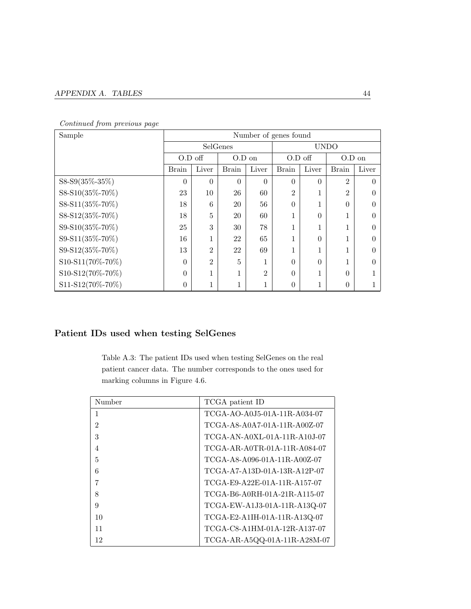| Sample           | Number of genes found |                |              |                |                |              |                |          |
|------------------|-----------------------|----------------|--------------|----------------|----------------|--------------|----------------|----------|
|                  | SelGenes              |                |              | <b>UNDO</b>    |                |              |                |          |
|                  | $O.D$ off             |                | $O.D$ on     |                | O.D off        |              | O.D on         |          |
|                  | <b>Brain</b>          | Liver          | <b>Brain</b> | Liver          | <b>Brain</b>   | Liver        | <b>Brain</b>   | Liver    |
| S8-S9(35%-35%)   | $\theta$              | $\theta$       | $\theta$     | $\theta$       | $\theta$       | $\theta$     | $\overline{2}$ | $\Omega$ |
| S8-S10(35%-70%)  | 23                    | 10             | 26           | 60             | $\overline{2}$ | 1            | $\overline{2}$ |          |
| S8-S11(35%-70%)  | 18                    | 6              | 20           | 56             | $\theta$       | $\mathbf{1}$ | $\theta$       |          |
| S8-S12(35%-70%)  | 18                    | 5              | 20           | 60             | 1              | $\Omega$     |                | 0        |
| S9-S10(35%-70%)  | 25                    | 3              | 30           | 78             | $\mathbf{1}$   | $\mathbf{1}$ | 1              |          |
| S9-S11(35%-70%)  | 16                    | 1<br>T         | 22           | 65             | $\mathbf{1}$   | $\Omega$     | 1              |          |
| S9-S12(35%-70%)  | 13                    | $\overline{2}$ | 22           | 69             | 1              | 1            | 1              | 0        |
| S10-S11(70%-70%) | $\Omega$              | $\overline{2}$ | 5            | $\mathbf 1$    | $\theta$       | $\Omega$     | 1              |          |
| S10-S12(70%-70%) | $\Omega$              | $\mathbf{1}$   | 1            | $\overline{2}$ | $\Omega$       | 1            | $\Omega$       |          |
| S11-S12(70%-70%) | $\overline{0}$        | 1              | 1            | $\mathbf 1$    | $\Omega$       | 1            | $\Omega$       |          |

Continued from previous page

### Patient IDs used when testing SelGenes

Table A.3: The patient IDs used when testing SelGenes on the real patient cancer data. The number corresponds to the ones used for marking columns in Figure 4.6.

| Number         | TCGA patient ID                 |
|----------------|---------------------------------|
| 1              | TCGA-AO-A0.15-01 A-11 R-A034-07 |
| $\mathfrak{D}$ | TCGA-A8-A0A7-01A-11R-A00Z-07    |
| 3              | $TCGA-AN-A0XL-01A-11R-A10J-07$  |
| 4              | TCGA-AR-A0TR-01A-11R-A084-07    |
| 5              | TCGA-A8-A096-01A-11R-A00Z-07    |
| 6              | TCGA-A7-A13D-01A-13R-A12P-07    |
|                | TCGA-E9-A22E-01A-11R-A157-07    |
| 8              | TCGA-B6-A0RH-01A-21R-A115-07    |
| 9              | TCGA-EW-A1J3-01A-11R-A13Q-07    |
| 10             | TCGA-E2-A1IH-01A-11R-A13Q-07    |
| 11             | TCGA-C8-A1HM-01A-12R-A137-07    |
| 12             | $TCGA-AR-ASQQ-01A-11R- A28M-07$ |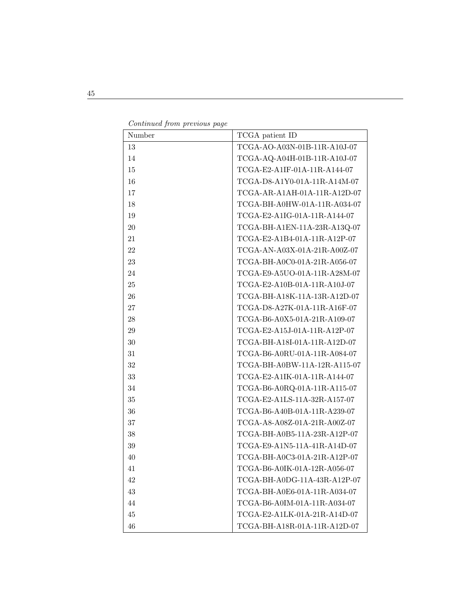| Continued from previous page |  |  |
|------------------------------|--|--|
|                              |  |  |

| Number | TCGA patient ID              |
|--------|------------------------------|
| 13     | TCGA-AO-A03N-01B-11R-A10J-07 |
| 14     | TCGA-AQ-A04H-01B-11R-A10J-07 |
| 15     | TCGA-E2-A1IF-01A-11R-A144-07 |
| 16     | TCGA-D8-A1Y0-01A-11R-A14M-07 |
| 17     | TCGA-AR-A1AH-01A-11R-A12D-07 |
| 18     | TCGA-BH-A0HW-01A-11R-A034-07 |
| 19     | TCGA-E2-A1IG-01A-11R-A144-07 |
| $20\,$ | TCGA-BH-A1EN-11A-23R-A13Q-07 |
| 21     | TCGA-E2-A1B4-01A-11R-A12P-07 |
| 22     | TCGA-AN-A03X-01A-21R-A00Z-07 |
| $23\,$ | TCGA-BH-A0C0-01A-21R-A056-07 |
| 24     | TCGA-E9-A5UO-01A-11R-A28M-07 |
| $25\,$ | TCGA-E2-A10B-01A-11R-A10J-07 |
| $26\,$ | TCGA-BH-A18K-11A-13R-A12D-07 |
| $27\,$ | TCGA-D8-A27K-01A-11R-A16F-07 |
| $28\,$ | TCGA-B6-A0X5-01A-21R-A109-07 |
| $29\,$ | TCGA-E2-A15J-01A-11R-A12P-07 |
| $30\,$ | TCGA-BH-A18I-01A-11R-A12D-07 |
| 31     | TCGA-B6-A0RU-01A-11R-A084-07 |
| $32\,$ | TCGA-BH-A0BW-11A-12R-A115-07 |
| $33\,$ | TCGA-E2-A1IK-01A-11R-A144-07 |
| $34\,$ | TCGA-B6-A0RQ-01A-11R-A115-07 |
| $35\,$ | TCGA-E2-A1LS-11A-32R-A157-07 |
| 36     | TCGA-B6-A40B-01A-11R-A239-07 |
| $37\,$ | TCGA-A8-A08Z-01A-21R-A00Z-07 |
| $38\,$ | TCGA-BH-A0B5-11A-23R-A12P-07 |
| $39\,$ | TCGA-E9-A1N5-11A-41R-A14D-07 |
| 40     | TCGA-BH-A0C3-01A-21R-A12P-07 |
| 41     | TCGA-B6-A0IK-01A-12R-A056-07 |
| 42     | TCGA-BH-A0DG-11A-43R-A12P-07 |
| 43     | TCGA-BH-A0E6-01A-11R-A034-07 |
| 44     | TCGA-B6-A0IM-01A-11R-A034-07 |
| 45     | TCGA-E2-A1LK-01A-21R-A14D-07 |
| 46     | TCGA-BH-A18R-01A-11R-A12D-07 |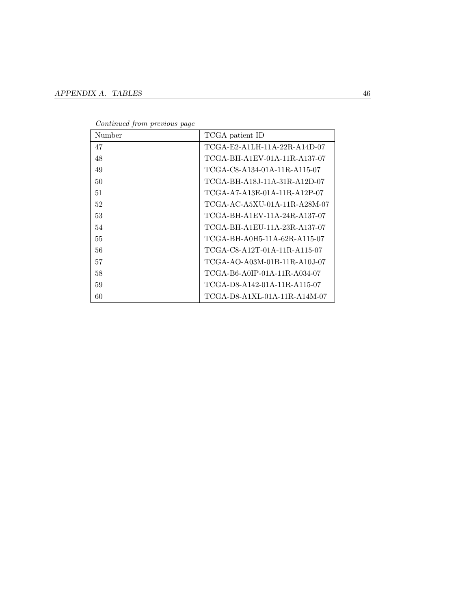| Number | TCGA patient ID              |
|--------|------------------------------|
| 47     | TCGA-E2-A1LH-11A-22R-A14D-07 |
| 48     | TCGA-BH-A1EV-01A-11R-A137-07 |
| 49     | TCGA-C8-A134-01A-11R-A115-07 |
| 50     | TCGA-BH-A18J-11A-31R-A12D-07 |
| 51     | TCGA-A7-A13E-01A-11R-A12P-07 |
| 52     | TCGA-AC-A5XU-01A-11R-A28M-07 |
| 53     | TCGA-BH-A1EV-11A-24R-A137-07 |
| 54     | TCGA-BH-A1EU-11A-23R-A137-07 |
| 55     | TCGA-BH-A0H5-11A-62R-A115-07 |
| 56     | TCGA-C8-A12T-01A-11R-A115-07 |
| 57     | TCGA-AO-A03M-01B-11R-A10J-07 |
| 58     | TCGA-B6-A0IP-01A-11R-A034-07 |
| 59     | TCGA-D8-A142-01A-11R-A115-07 |
| 60     | TCGA-D8-A1XL-01A-11R-A14M-07 |

Continued from previous page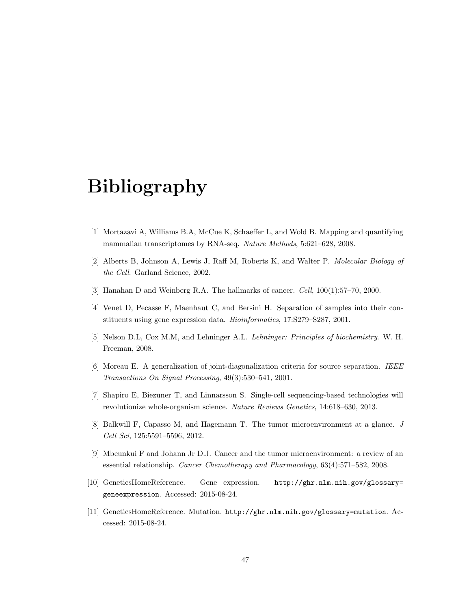## Bibliography

- [1] Mortazavi A, Williams B.A, McCue K, Schaeffer L, and Wold B. Mapping and quantifying mammalian transcriptomes by RNA-seq. Nature Methods, 5:621–628, 2008.
- [2] Alberts B, Johnson A, Lewis J, Raff M, Roberts K, and Walter P. Molecular Biology of the Cell. Garland Science, 2002.
- [3] Hanahan D and Weinberg R.A. The hallmarks of cancer. Cell, 100(1):57–70, 2000.
- [4] Venet D, Pecasse F, Maenhaut C, and Bersini H. Separation of samples into their constituents using gene expression data. Bioinformatics, 17:S279–S287, 2001.
- [5] Nelson D.L, Cox M.M, and Lehninger A.L. Lehninger: Principles of biochemistry. W. H. Freeman, 2008.
- [6] Moreau E. A generalization of joint-diagonalization criteria for source separation. IEEE Transactions On Signal Processing, 49(3):530–541, 2001.
- [7] Shapiro E, Biezuner T, and Linnarsson S. Single-cell sequencing-based technologies will revolutionize whole-organism science. Nature Reviews Genetics, 14:618–630, 2013.
- [8] Balkwill F, Capasso M, and Hagemann T. The tumor microenvironment at a glance. J Cell Sci, 125:5591–5596, 2012.
- [9] Mbeunkui F and Johann Jr D.J. Cancer and the tumor microenvironment: a review of an essential relationship. Cancer Chemotherapy and Pharmacology, 63(4):571–582, 2008.
- [10] GeneticsHomeReference. Gene expression. http://ghr.nlm.nih.gov/glossary= geneexpression. Accessed: 2015-08-24.
- [11] GeneticsHomeReference. Mutation. http://ghr.nlm.nih.gov/glossary=mutation. Accessed: 2015-08-24.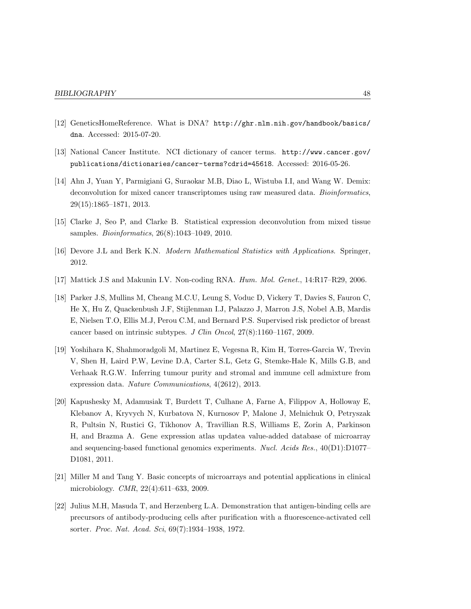- [12] GeneticsHomeReference. What is DNA? http://ghr.nlm.nih.gov/handbook/basics/ dna. Accessed: 2015-07-20.
- [13] National Cancer Institute. NCI dictionary of cancer terms. http://www.cancer.gov/ publications/dictionaries/cancer-terms?cdrid=45618. Accessed: 2016-05-26.
- [14] Ahn J, Yuan Y, Parmigiani G, Suraokar M.B, Diao L, Wistuba I.I, and Wang W. Demix: deconvolution for mixed cancer transcriptomes using raw measured data. *Bioinformatics*, 29(15):1865–1871, 2013.
- [15] Clarke J, Seo P, and Clarke B. Statistical expression deconvolution from mixed tissue samples. Bioinformatics, 26(8):1043–1049, 2010.
- [16] Devore J.L and Berk K.N. Modern Mathematical Statistics with Applications. Springer, 2012.
- [17] Mattick J.S and Makunin I.V. Non-coding RNA. Hum. Mol. Genet., 14:R17–R29, 2006.
- [18] Parker J.S, Mullins M, Cheang M.C.U, Leung S, Voduc D, Vickery T, Davies S, Fauron C, He X, Hu Z, Quackenbush J.F, Stijlenman I.J, Palazzo J, Marron J.S, Nobel A.B, Mardis E, Nielsen T.O, Ellis M.J, Perou C.M, and Bernard P.S. Supervised risk predictor of breast cancer based on intrinsic subtypes. J Clin Oncol, 27(8):1160–1167, 2009.
- [19] Yoshihara K, Shahmoradgoli M, Martinez E, Vegesna R, Kim H, Torres-Garcia W, Trevin V, Shen H, Laird P.W, Levine D.A, Carter S.L, Getz G, Stemke-Hale K, Mills G.B, and Verhaak R.G.W. Inferring tumour purity and stromal and immune cell admixture from expression data. Nature Communications, 4(2612), 2013.
- [20] Kapushesky M, Adamusiak T, Burdett T, Culhane A, Farne A, Filippov A, Holloway E, Klebanov A, Kryvych N, Kurbatova N, Kurnosov P, Malone J, Melnichuk O, Petryszak R, Pultsin N, Rustici G, Tikhonov A, Travillian R.S, Williams E, Zorin A, Parkinson H, and Brazma A. Gene expression atlas updatea value-added database of microarray and sequencing-based functional genomics experiments. Nucl. Acids Res., 40(D1):D1077-D1081, 2011.
- [21] Miller M and Tang Y. Basic concepts of microarrays and potential applications in clinical microbiology. CMR, 22(4):611–633, 2009.
- [22] Julius M.H, Masuda T, and Herzenberg L.A. Demonstration that antigen-binding cells are precursors of antibody-producing cells after purification with a fluorescence-activated cell sorter. Proc. Nat. Acad. Sci, 69(7):1934–1938, 1972.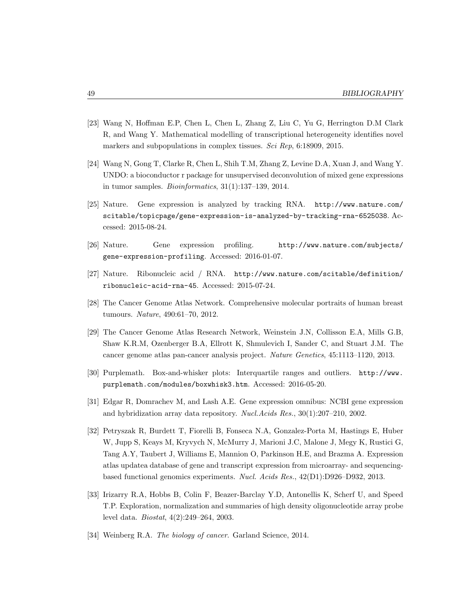- [23] Wang N, Hoffman E.P, Chen L, Chen L, Zhang Z, Liu C, Yu G, Herrington D.M Clark R, and Wang Y. Mathematical modelling of transcriptional heterogeneity identifies novel markers and subpopulations in complex tissues. Sci Rep, 6:18909, 2015.
- [24] Wang N, Gong T, Clarke R, Chen L, Shih T.M, Zhang Z, Levine D.A, Xuan J, and Wang Y. UNDO: a bioconductor r package for unsupervised deconvolution of mixed gene expressions in tumor samples. Bioinformatics, 31(1):137–139, 2014.
- [25] Nature. Gene expression is analyzed by tracking RNA. http://www.nature.com/ scitable/topicpage/gene-expression-is-analyzed-by-tracking-rna-6525038. Accessed: 2015-08-24.
- [26] Nature. Gene expression profiling. http://www.nature.com/subjects/ gene-expression-profiling. Accessed: 2016-01-07.
- [27] Nature. Ribonucleic acid / RNA. http://www.nature.com/scitable/definition/ ribonucleic-acid-rna-45. Accessed: 2015-07-24.
- [28] The Cancer Genome Atlas Network. Comprehensive molecular portraits of human breast tumours. Nature, 490:61–70, 2012.
- [29] The Cancer Genome Atlas Research Network, Weinstein J.N, Collisson E.A, Mills G.B, Shaw K.R.M, Ozenberger B.A, Ellrott K, Shmulevich I, Sander C, and Stuart J.M. The cancer genome atlas pan-cancer analysis project. Nature Genetics, 45:1113–1120, 2013.
- [30] Purplemath. Box-and-whisker plots: Interquartile ranges and outliers. http://www. purplemath.com/modules/boxwhisk3.htm. Accessed: 2016-05-20.
- [31] Edgar R, Domrachev M, and Lash A.E. Gene expression omnibus: NCBI gene expression and hybridization array data repository. Nucl.Acids Res., 30(1):207–210, 2002.
- [32] Petryszak R, Burdett T, Fiorelli B, Fonseca N.A, Gonzalez-Porta M, Hastings E, Huber W, Jupp S, Keays M, Kryvych N, McMurry J, Marioni J.C, Malone J, Megy K, Rustici G, Tang A.Y, Taubert J, Williams E, Mannion O, Parkinson H.E, and Brazma A. Expression atlas updatea database of gene and transcript expression from microarray- and sequencingbased functional genomics experiments. Nucl. Acids Res., 42(D1):D926–D932, 2013.
- [33] Irizarry R.A, Hobbs B, Colin F, Beazer-Barclay Y.D, Antonellis K, Scherf U, and Speed T.P. Exploration, normalization and summaries of high density oligonucleotide array probe level data. Biostat, 4(2):249–264, 2003.
- [34] Weinberg R.A. The biology of cancer. Garland Science, 2014.